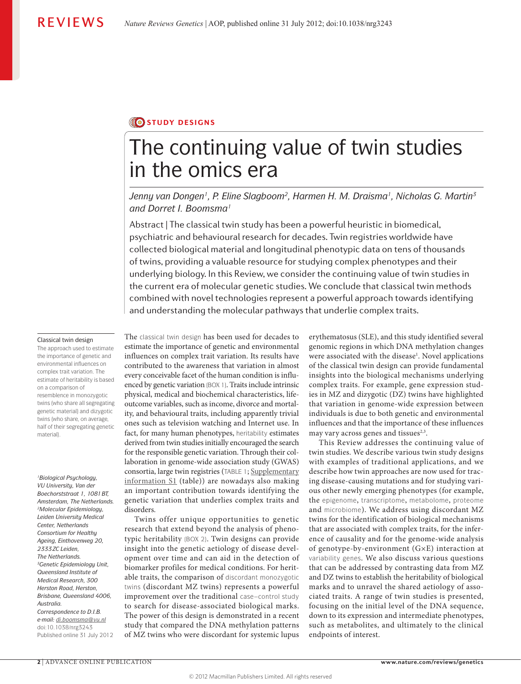# **STUDY DESIGNS**

# The continuing value of twin studies in the omics era

Jenny van Dongen<sup>1</sup>, P. Eline Slagboom<sup>2</sup>, Harmen H. M. Draisma<sup>1</sup>, Nicholas G. Martin<sup>3</sup> *and Dorret I. Boomsma1*

Abstract | The classical twin study has been a powerful heuristic in biomedical, psychiatric and behavioural research for decades. Twin registries worldwide have collected biological material and longitudinal phenotypic data on tens of thousands of twins, providing a valuable resource for studying complex phenotypes and their underlying biology. In this Review, we consider the continuing value of twin studies in the current era of molecular genetic studies. We conclude that classical twin methods combined with novel technologies represent a powerful approach towards identifying and understanding the molecular pathways that underlie complex traits.

# Classical twin design

The approach used to estimate the importance of genetic and environmental influences on complex trait variation. The estimate of heritability is based on a comparison of resemblence in monozygotic twins (who share all segregating genetic material) and dizygotic twins (who share, on average, half of their segregating genetic material).

*1Biological Psychology, VU University, Van der Boechorststraat 1, 1081BT, Amsterdam, The Netherlands. 2Molecular Epidemiology, Leiden University Medical Center, Netherlands Consortium for Healthy Ageing, Einthovenweg 20, 2333ZC Leiden, The Netherlands. 3Genetic Epidemiology Unit, Queensland Institute of Medical Research, 300 Herston Road, Herston, Brisbane, Queensland 4006, Australia. Correspondence to D.I.B. e‑mail: [di.boomsma@vu.nl](mailto:di.boomsma@vu.nl)* doi:10.1038/nrg3243 Published online 31 July 2012

The classical twin design has been used for decades to estimate the importance of genetic and environmental influences on complex trait variation. Its results have contributed to the awareness that variation in almost every conceivable facet of the human condition is influenced by genetic variation (BOX 1). Traits include intrinsic physical, medical and biochemical characteristics, lifeoutcome variables, such as income, divorce and mortality, and behavioural traits, including apparently trivial ones such as television watching and Internet use. In fact, for many human phenotypes, heritability estimates derived from twin studies initially encouraged the search for the responsible genetic variation. Through their collaboration in genome-wide association study (GWAS) consortia, large twin registries (TABLE 1; [Supplementary](http://www.nature.com/nrg/journal/vaop/ncurrent/suppinfo/nrg3243.html)  [information S1](http://www.nature.com/nrg/journal/vaop/ncurrent/suppinfo/nrg3243.html) (table)) are nowadays also making an important contribution towards identifying the genetic variation that underlies complex traits and disorders.

Twins offer unique opportunities to genetic research that extend beyond the analysis of phenotypic heritability (BOX 2). Twin designs can provide insight into the genetic aetiology of disease development over time and can aid in the detection of biomarker profiles for medical conditions. For heritable traits, the comparison of discordant monozygotic twins (discordant MZ twins) represents a powerful improvement over the traditional case–control study to search for disease-associated biological marks. The power of this design is demonstrated in a recent study that compared the DNA methylation patterns of MZ twins who were discordant for systemic lupus erythematosus (SLE), and this study identified several genomic regions in which DNA methylation changes were associated with the disease<sup>1</sup>. Novel applications of the classical twin design can provide fundamental insights into the biological mechanisms underlying complex traits. For example, gene expression studies in MZ and dizygotic (DZ) twins have highlighted that variation in genome-wide expression between individuals is due to both genetic and environmental influences and that the importance of these influences may vary across genes and tissues<sup>2,3</sup>.

This Review addresses the continuing value of twin studies. We describe various twin study designs with examples of traditional applications, and we describe how twin approaches are now used for tracing disease-causing mutations and for studying various other newly emerging phenotypes (for example, the epigenome, transcriptome, metabolome, proteome and microbiome). We address using discordant MZ twins for the identification of biological mechanisms that are associated with complex traits, for the inference of causality and for the genome-wide analysis of genotype-by-environment (G×E) interaction at variability genes. We also discuss various questions that can be addressed by contrasting data from MZ and DZ twins to establish the heritability of biological marks and to unravel the shared aetiology of associated traits. A range of twin studies is presented, focusing on the initial level of the DNA sequence, down to its expression and intermediate phenotypes, such as metabolites, and ultimately to the clinical endpoints of interest.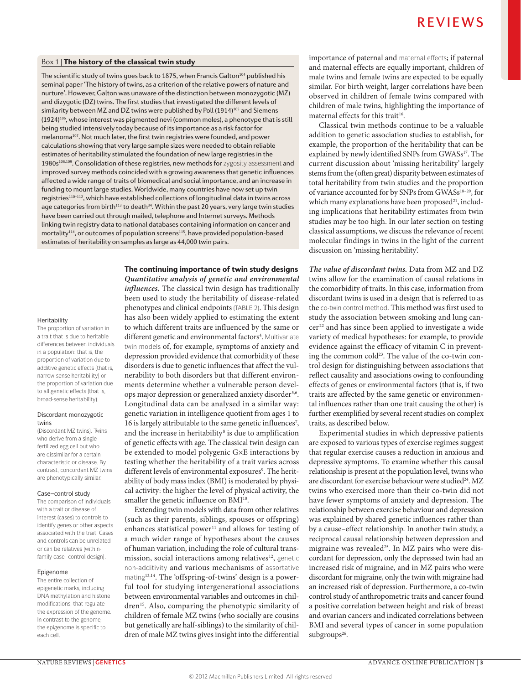# Box 1 | The history of the classical twin study

The scientific study of twins goes back to 1875, when Francis Galton<sup>104</sup> published his seminal paper 'The history of twins, as a criterion of the relative powers of nature and nurture'. However, Galton was unaware of the distinction between monozygotic (MZ) and dizygotic (DZ) twins. The first studies that investigated the different levels of similarity between MZ and DZ twins were published by Poll (1914)<sup>105</sup> and Siemens (1924)106, whose interest was pigmented nevi (common moles), a phenotype that is still being studied intensively today because of its importance as a risk factor for melanoma<sup>107</sup>. Not much later, the first twin registries were founded, and power calculations showing that very large sample sizes were needed to obtain reliable estimates of heritability stimulated the foundation of new large registries in the 1980s<sup>108,109</sup>. Consolidation of these registries, new methods for zygosity assessment and improved survey methods coincided with a growing awareness that genetic influences affected a wide range of traits of biomedical and social importance, and an increase in funding to mount large studies. Worldwide, many countries have now set up twin registries<sup>110–112</sup>, which have established collections of longitudinal data in twins across age categories from birth<sup>113</sup> to death<sup>34</sup>. Within the past 20 years, very large twin studies have been carried out through mailed, telephone and Internet surveys. Methods linking twin registry data to national databases containing information on cancer and mortality<sup>114</sup>, or outcomes of population screens<sup>115</sup>, have provided population-based estimates of heritability on samples as large as 44,000 twin pairs.

#### Heritability

The proportion of variation in a trait that is due to heritable differences between individuals in a population: that is, the proportion of variation due to additive genetic effects (that is, narrow-sense heritability) or the proportion of variation due to all genetic effects (that is, broad-sense heritability).

#### Discordant monozygotic twins

(Discordant MZ twins). Twins who derive from a single fertilized egg cell but who are dissimilar for a certain characteristic or disease. By contrast, concordant MZ twins are phenotypically similar.

#### Case–control study

The comparison of individuals with a trait or disease of interest (cases) to controls to identify genes or other aspects associated with the trait. Cases and controls can be unrelated or can be relatives (withinfamily case–control design).

# Epigenome

The entire collection of epigenetic marks, including DNA methylation and histone modifications, that regulate the expression of the genome. In contrast to the genome, the epigenome is specific to each cell.

*Quantitative analysis of genetic and environmental influences.* The classical twin design has traditionally been used to study the heritability of disease-related phenotypes and clinical endpoints (TABLE 2). This design has also been widely applied to estimating the extent to which different traits are influenced by the same or different genetic and environmental factors<sup>4</sup>. Multivariate twin models of, for example, symptoms of anxiety and depression provided evidence that comorbidity of these disorders is due to genetic influences that affect the vulnerability to both disorders but that different environments determine whether a vulnerable person develops major depression or generalized anxiety disorder<sup>5,6</sup>. Longitudinal data can be analysed in a similar way: genetic variation in intelligence quotient from ages 1 to 16 is largely attributable to the same genetic influences<sup>7</sup>, and the increase in heritability ${}^s$  is due to amplification of genetic effects with age. The classical twin design can be extended to model polygenic G×E interactions by testing whether the heritability of a trait varies across different levels of environmental exposures<sup>9</sup>. The heritability of body mass index (BMI) is moderated by physical activity: the higher the level of physical activity, the smaller the genetic influence on BMI<sup>10</sup>.

The continuing importance of twin study designs

Extending twin models with data from other relatives (such as their parents, siblings, spouses or offspring) enhances statistical power<sup>11</sup> and allows for testing of a much wider range of hypotheses about the causes of human variation, including the role of cultural transmission, social interactions among relatives $12$ , genetic non-additivity and various mechanisms of assortative mating13,14. The 'offspring-of-twins' design is a powerful tool for studying intergenerational associations between environmental variables and outcomes in children<sup>15</sup>. Also, comparing the phenotypic similarity of children of female MZ twins (who socially are cousins but genetically are half-siblings) to the similarity of children of male MZ twins gives insight into the differential importance of paternal and maternal effects; if paternal and maternal effects are equally important, children of male twins and female twins are expected to be equally similar. For birth weight, larger correlations have been observed in children of female twins compared with children of male twins, highlighting the importance of maternal effects for this trait<sup>16</sup>.

Classical twin methods continue to be a valuable addition to genetic association studies to establish, for example, the proportion of the heritability that can be explained by newly identified SNPs from GWASs<sup>17</sup>. The current discussion about 'missing heritability' largely stems from the (often great) disparity between estimates of total heritability from twin studies and the proportion of variance accounted for by SNPs from GWASs<sup>18-20</sup>, for which many explanations have been proposed $21$ , including implications that heritability estimates from twin studies may be too high. In our later section on testing classical assumptions, we discuss the relevance of recent molecular findings in twins in the light of the current discussion on 'missing heritability'.

*The value of discordant twins.* Data from MZ and DZ twins allow for the examination of causal relations in the comorbidity of traits. In this case, information from discordant twins is used in a design that is referred to as the co-twin control method. This method was first used to study the association between smoking and lung cancer<sup>22</sup> and has since been applied to investigate a wide variety of medical hypotheses: for example, to provide evidence against the efficacy of vitamin C in preventing the common cold<sup>23</sup>. The value of the co-twin control design for distinguishing between associations that reflect causality and associations owing to confounding effects of genes or environmental factors (that is, if two traits are affected by the same genetic or environmental influences rather than one trait causing the other) is further exemplified by several recent studies on complex traits, as described below.

Experimental studies in which depressive patients are exposed to various types of exercise regimes suggest that regular exercise causes a reduction in anxious and depressive symptoms. To examine whether this causal relationship is present at the population level, twins who are discordant for exercise behaviour were studied<sup>24</sup>. MZ twins who exercised more than their co-twin did not have fewer symptoms of anxiety and depression. The relationship between exercise behaviour and depression was explained by shared genetic influences rather than by a cause–effect relationship. In another twin study, a reciprocal causal relationship between depression and migraine was revealed<sup>25</sup>. In MZ pairs who were discordant for depression, only the depressed twin had an increased risk of migraine, and in MZ pairs who were discordant for migraine, only the twin with migraine had an increased risk of depression. Furthermore, a co-twin control study of anthropometric traits and cancer found a positive correlation between height and risk of breast and ovarian cancers and indicated correlations between BMI and several types of cancer in some population subgroups<sup>26</sup>.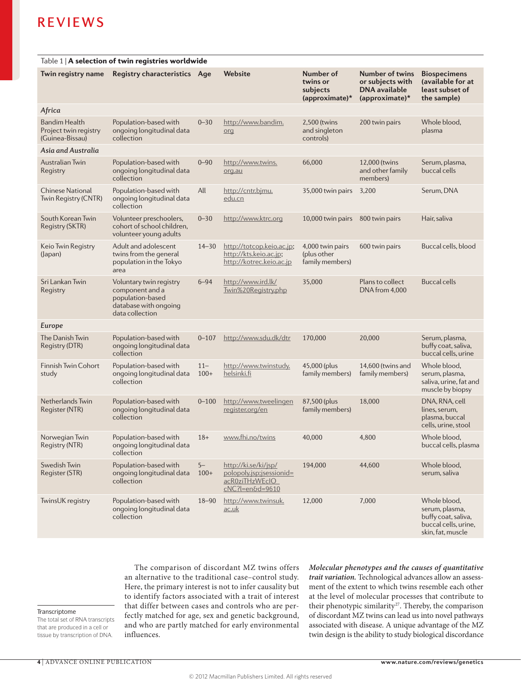| Table 1   A selection of twin registries worldwide               |                                                                                                            |                  |                                                                                                     |                                                     |                                                                                      |                                                                                                    |
|------------------------------------------------------------------|------------------------------------------------------------------------------------------------------------|------------------|-----------------------------------------------------------------------------------------------------|-----------------------------------------------------|--------------------------------------------------------------------------------------|----------------------------------------------------------------------------------------------------|
| Twin registry name                                               | Registry characteristics Age                                                                               |                  | Website                                                                                             | Number of<br>twins or<br>subjects<br>(approximate)* | <b>Number of twins</b><br>or subjects with<br><b>DNA</b> available<br>(approximate)* | <b>Biospecimens</b><br>(available for at<br>least subset of<br>the sample)                         |
| Africa                                                           |                                                                                                            |                  |                                                                                                     |                                                     |                                                                                      |                                                                                                    |
| <b>Bandim Health</b><br>Project twin registry<br>(Guinea-Bissau) | Population-based with<br>ongoing longitudinal data<br>collection                                           | $0 - 30$         | http://www.bandim.<br>org                                                                           | 2,500 (twins<br>and singleton<br>controls)          | 200 twin pairs                                                                       | Whole blood,<br>plasma                                                                             |
| Asia and Australia                                               |                                                                                                            |                  |                                                                                                     |                                                     |                                                                                      |                                                                                                    |
| Australian Twin<br>Registry                                      | Population-based with<br>ongoing longitudinal data<br>collection                                           | $0 - 90$         | http://www.twins.<br>org.au                                                                         | 66,000                                              | 12,000 (twins)<br>and other family<br>members)                                       | Serum, plasma,<br>buccal cells                                                                     |
| <b>Chinese National</b><br>Twin Registry (CNTR)                  | Population-based with<br>ongoing longitudinal data<br>collection                                           | All              | http://cntr.bjmu.<br>edu.cn                                                                         | 35,000 twin pairs                                   | 3,200                                                                                | Serum, DNA                                                                                         |
| South Korean Twin<br>Registry (SKTR)                             | Volunteer preschoolers,<br>cohort of school children,<br>volunteer young adults                            | $0 - 30$         | http://www.ktrc.org                                                                                 | 10,000 twin pairs                                   | 800 twin pairs                                                                       | Hair, saliva                                                                                       |
| Keio Twin Registry<br>(Japan)                                    | Adult and adolescent<br>twins from the general<br>population in the Tokyo<br>area                          | $14 - 30$        | http://totcop.keio.ac.jp;<br>http://kts.keio.ac.jp;<br>http://kotrec.keio.ac.jp                     | 4,000 twin pairs<br>(plus other<br>family members)  | 600 twin pairs                                                                       | Buccal cells, blood                                                                                |
| Sri Lankan Twin<br>Registry                                      | Voluntary twin registry<br>component and a<br>population-based<br>database with ongoing<br>data collection | $6 - 94$         | http://www.ird.lk/<br>Twin%20Registry.php                                                           | 35,000                                              | Plans to collect<br>DNA from 4,000                                                   | <b>Buccal cells</b>                                                                                |
| Europe                                                           |                                                                                                            |                  |                                                                                                     |                                                     |                                                                                      |                                                                                                    |
| The Danish Twin<br>Registry (DTR)                                | Population-based with<br>ongoing longitudinal data<br>collection                                           | $0 - 107$        | http://www.sdu.dk/dtr                                                                               | 170,000                                             | 20,000                                                                               | Serum, plasma,<br>buffy coat, saliva,<br>buccal cells, urine                                       |
| Finnish Twin Cohort<br>study                                     | Population-based with<br>ongoing longitudinal data<br>collection                                           | $11 -$<br>$100+$ | http://www.twinstudy.<br>helsinki.fi                                                                | 45,000 (plus<br>family members)                     | 14,600 (twins and<br>family members)                                                 | Whole blood,<br>serum, plasma,<br>saliva, urine, fat and<br>muscle by biopsy                       |
| Netherlands Twin<br>Register (NTR)                               | Population-based with<br>ongoing longitudinal data<br>collection                                           | $0 - 100$        | http://www.tweelingen<br>register.org/en                                                            | 87,500 (plus<br>family members)                     | 18,000                                                                               | DNA, RNA, cell<br>lines, serum,<br>plasma, buccal<br>cells, urine, stool                           |
| Norwegian Twin<br>Registry (NTR)                                 | Population-based with<br>ongoing longitudinal data<br>collection                                           | $18+$            | www.fhi.no/twins                                                                                    | 40,000                                              | 4,800                                                                                | Whole blood,<br>buccal cells, plasma                                                               |
| Swedish Twin<br>Register (STR)                                   | Population-based with<br>ongoing longitudinal data<br>collection                                           | $5-$<br>$100+$   | http://ki.se/ki/jsp/<br>polopoly.jsp;jsessionid=<br>acR0ziTHzWEcIO<br>$cNC?$ l=en $\delta d = 9610$ | 194,000                                             | 44,600                                                                               | Whole blood,<br>serum, saliva                                                                      |
| TwinsUK registry                                                 | Population-based with<br>ongoing longitudinal data<br>collection                                           | $18 - 90$        | http://www.twinsuk.<br><u>ac.uk</u>                                                                 | 12,000                                              | 7,000                                                                                | Whole blood,<br>serum, plasma,<br>buffy coat, saliva,<br>buccal cells, urine,<br>skin, fat, muscle |

Transcriptome

The total set of RNA transcripts that are produced in a cell or tissue by transcription of DNA.

The comparison of discordant MZ twins offers an alternative to the traditional case–control study. Here, the primary interest is not to infer causality but to identify factors associated with a trait of interest that differ between cases and controls who are perfectly matched for age, sex and genetic background, and who are partly matched for early environmental influences.

*Molecular phenotypes and the causes of quantitative trait variation.* Technological advances allow an assessment of the extent to which twins resemble each other at the level of molecular processes that contribute to their phenotypic similarity<sup>27</sup>. Thereby, the comparison of discordant MZ twins can lead us into novel pathways associated with disease. A unique advantage of the MZ twin design is the ability to study biological discordance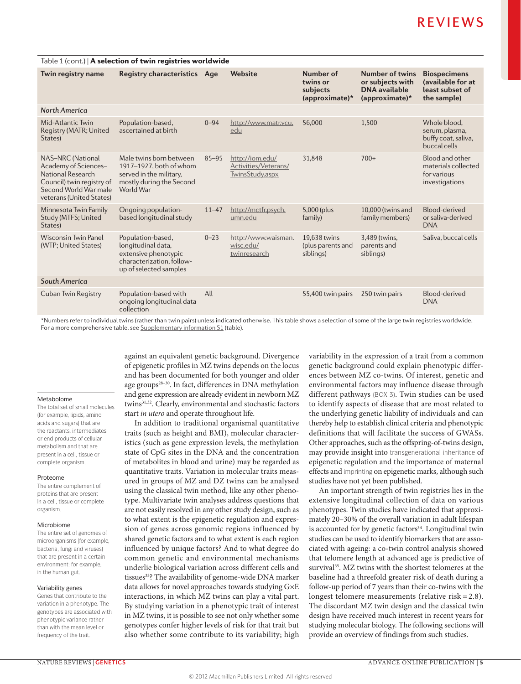| Table 1 (cont.)   A selection of twin registries worldwide                                                                                       |                                                                                                                        |           |                                                            |                                                       |                                                                                  |                                                                            |
|--------------------------------------------------------------------------------------------------------------------------------------------------|------------------------------------------------------------------------------------------------------------------------|-----------|------------------------------------------------------------|-------------------------------------------------------|----------------------------------------------------------------------------------|----------------------------------------------------------------------------|
| Twin registry name                                                                                                                               | Registry characteristics Age                                                                                           |           | Website                                                    | Number of<br>twins or<br>subjects<br>$(approximate)*$ | Number of twins<br>or subjects with<br><b>DNA</b> available<br>$(approximate)^*$ | <b>Biospecimens</b><br>(available for at<br>least subset of<br>the sample) |
| North America                                                                                                                                    |                                                                                                                        |           |                                                            |                                                       |                                                                                  |                                                                            |
| Mid-Atlantic Twin<br>Registry (MATR; United<br>States)                                                                                           | Population-based,<br>ascertained at birth                                                                              | $0 - 94$  | http://www.matr.vcu.<br>edu                                | 56,000                                                | 1,500                                                                            | Whole blood.<br>serum, plasma,<br>buffy coat, saliva,<br>buccal cells      |
| NAS-NRC (National<br>Academy of Sciences-<br>National Research<br>Council) twin registry of<br>Second World War male<br>veterans (United States) | Male twins born between<br>1917-1927, both of whom<br>served in the military,<br>mostly during the Second<br>World War | $85 - 95$ | http://iom.edu/<br>Activities/Veterans/<br>TwinsStudy.aspx | 31,848                                                | $700+$                                                                           | Blood and other<br>materials collected<br>for various<br>investigations    |
| Minnesota Twin Family<br>Study (MTFS; United<br>States)                                                                                          | Ongoing population-<br>based longitudinal study                                                                        | $11 - 47$ | http://mctfr.psych.<br>umn.edu                             | 5,000 (plus<br>family)                                | 10,000 (twins and<br>family members)                                             | Blood-derived<br>or saliva-derived<br><b>DNA</b>                           |
| Wisconsin Twin Panel<br>(WTP; United States)                                                                                                     | Population-based,<br>longitudinal data,<br>extensive phenotypic<br>characterization. follow-<br>up of selected samples | $0 - 23$  | http://www.waisman.<br>wisc.edu/<br>twinresearch           | 19,638 twins<br>(plus parents and<br>siblings)        | 3,489 (twins,<br>parents and<br>siblings)                                        | Saliva, buccal cells                                                       |
| South America                                                                                                                                    |                                                                                                                        |           |                                                            |                                                       |                                                                                  |                                                                            |
| Cuban Twin Registry                                                                                                                              | Population-based with<br>ongoing longitudinal data<br>collection                                                       | All       |                                                            | 55,400 twin pairs                                     | 250 twin pairs                                                                   | Blood-derived<br><b>DNA</b>                                                |
|                                                                                                                                                  |                                                                                                                        |           |                                                            |                                                       |                                                                                  |                                                                            |

\*Numbers refer to individual twins (rather than twin pairs) unless indicated otherwise. This table shows a selection of some of the large twin registries worldwide. For a more comprehensive table, see [Supplementary information S1](http://www.nature.com/nrg/journal/vaop/ncurrent/suppinfo/nrg3243.html) (table).

#### Metabolome

The total set of small molecules (for example, lipids, amino acids and sugars) that are the reactants, intermediates or end products of cellular metabolism and that are present in a cell, tissue or complete organism.

#### Proteome

The entire complement of proteins that are present in a cell, tissue or complete organism.

#### Microbiome

The entire set of genomes of microorganisms (for example, bacteria, fungi and viruses) that are present in a certain environment: for example, in the human gut.

#### Variability genes

Genes that contribute to the variation in a phenotype. The genotypes are associated with phenotypic variance rather than with the mean level or frequency of the trait.

against an equivalent genetic background. Divergence of epigenetic profiles in MZ twins depends on the locus and has been documented for both younger and older age groups<sup>28-30</sup>. In fact, differences in DNA methylation and gene expression are already evident in newborn MZ twins<sup>31,32</sup>. Clearly, environmental and stochastic factors start *in utero* and operate throughout life.

In addition to traditional organismal quantitative traits (such as height and BMI), molecular characteristics (such as gene expression levels, the methylation state of CpG sites in the DNA and the concentration of metabolites in blood and urine) may be regarded as quantitative traits. Variation in molecular traits measured in groups of MZ and DZ twins can be analysed using the classical twin method, like any other phenotype. Multivariate twin analyses address questions that are not easily resolved in any other study design, such as to what extent is the epigenetic regulation and expression of genes across genomic regions influenced by shared genetic factors and to what extent is each region influenced by unique factors? And to what degree do common genetic and environmental mechanisms underlie biological variation across different cells and tissues<sup>33</sup>? The availability of genome-wide DNA marker data allows for novel approaches towards studying G×E interactions, in which MZ twins can play a vital part. By studying variation in a phenotypic trait of interest in MZ twins, it is possible to see not only whether some genotypes confer higher levels of risk for that trait but also whether some contribute to its variability; high variability in the expression of a trait from a common genetic background could explain phenotypic differences between MZ co-twins. Of interest, genetic and environmental factors may influence disease through different pathways (BOX 3). Twin studies can be used to identify aspects of disease that are most related to the underlying genetic liability of individuals and can thereby help to establish clinical criteria and phenotypic definitions that will facilitate the success of GWASs. Other approaches, such as the offspring-of-twins design, may provide insight into transgenerational inheritance of epigenetic regulation and the importance of maternal effects and imprinting on epigenetic marks, although such studies have not yet been published.

An important strength of twin registries lies in the extensive longitudinal collection of data on various phenotypes. Twin studies have indicated that approximately 20–30% of the overall variation in adult lifespan is accounted for by genetic factors<sup>34</sup>. Longitudinal twin studies can be used to identify biomarkers that are associated with ageing: a co-twin control analysis showed that telomere length at advanced age is predictive of survival<sup>35</sup>. MZ twins with the shortest telomeres at the baseline had a threefold greater risk of death during a follow-up period of 7 years than their co-twins with the longest telomere measurements (relative risk = 2.8). The discordant MZ twin design and the classical twin design have received much interest in recent years for studying molecular biology. The following sections will provide an overview of findings from such studies.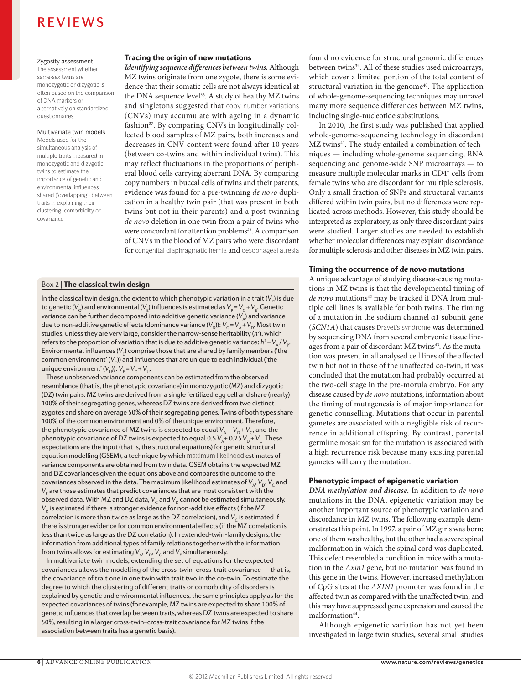# Zygosity assessment

The assessment whether same-sex twins are monozygotic or dizygotic is often based on the comparison of DNA markers or alternatively on standardized questionnaires.

# Multivariate twin models

Models used for the simultaneous analysis of multiple traits measured in monozygotic and dizygotic twins to estimate the importance of genetic and environmental influences shared ('overlapping') between traits in explaining their clustering, comorbidity or covariance.

# Tracing the origin of new mutations

*Identifying sequence differences between twins.*Although MZ twins originate from one zygote, there is some evidence that their somatic cells are not always identical at the DNA sequence level<sup>36</sup>. A study of healthy MZ twins and singletons suggested that copy number variations (CNVs) may accumulate with ageing in a dynamic  $fashion<sup>37</sup>$ . By comparing CNVs in longitudinally collected blood samples of MZ pairs, both increases and decreases in CNV content were found after 10 years (between co-twins and within individual twins). This may reflect fluctuations in the proportions of peripheral blood cells carrying aberrant DNA. By comparing copy numbers in buccal cells of twins and their parents, evidence was found for a pre-twinning *de novo* duplication in a healthy twin pair (that was present in both twins but not in their parents) and a post-twinning *de novo* deletion in one twin from a pair of twins who were concordant for attention problems<sup>38</sup>. A comparison of CNVs in the blood of MZ pairs who were discordant for congenital diaphragmatic hernia and oesophageal atresia

# Box 2 | The classical twin design

In the classical twin design, the extent to which phenotypic variation in a trait ( $V_{\scriptscriptstyle{\rm p}}$ ) is due to genetic ( $V_{\rm C}$ ) and environmental ( $V_{\rm E}$ ) influences is estimated as  $V_{\rm P}$  =  $V_{\rm G}$  +  $V_{\rm E}$ . Genetic variance can be further decomposed into additive genetic variance (V<sub>A</sub>) and variance due to non-additive genetic effects (dominance variance  $(V_D)$ ):  $V_C = V_A + V_D$ . Most twin studies, unless they are very large, consider the narrow-sense heritability (h<sup>2</sup>), which refers to the proportion of variation that is due to additive genetic variance:  $h^2$  =  $V_{_{\rm A}}$  /  $V_{_{\rm P}}$ . Environmental influences ( $V_{\rm E}$ ) comprise those that are shared by family members ('the common environment' ( $V<sub>C</sub>$ )) and influences that are unique to each individual ('the unique environment'  $(V_{\mu})$ :  $V_{\mu} = V_{\mu} + V_{\mu}$ .

These unobserved variance components can be estimated from the observed resemblance (that is, the phenotypic covariance) in monozygotic (MZ) and dizygotic (DZ) twin pairs. MZ twins are derived from a single fertilized egg cell and share (nearly) 100% of their segregating genes, whereas DZ twins are derived from two distinct zygotes and share on average 50% of their segregating genes. Twins of both types share 100% of the common environment and 0% of the unique environment. Therefore, the phenotypic covariance of MZ twins is expected to equal  $V_A + V_D + V_C$ , and the phenotypic covariance of DZ twins is expected to equal 0.5  $V_A + 0.25V_D + V_C$ . These expectations are the input (that is, the structural equations) for genetic structural equation modelling (GSEM), a technique by which maximum likelihood estimates of variance components are obtained from twin data. GSEM obtains the expected MZ and DZ covariances given the equations above and compares the outcome to the covariances observed in the data. The maximum likelihood estimates of  $V_A$ ,  $V_D$ ,  $V_C$  and  $V_{\rm E}$  are those estimates that predict covariances that are most consistent with the observed data. With MZ and DZ data,  $V_c$  and  $V_p$  cannot be estimated simultaneously.  $V_{\text{o}}$  is estimated if there is stronger evidence for non-additive effects (if the MZ correlation is more than twice as large as the DZ correlation), and  $V_c$  is estimated if there is stronger evidence for common environmental effects (if the MZ correlation is less than twice as large as the DZ correlation). In extended-twin-family designs, the information from additional types of family relations together with the information from twins allows for estimating  $V_{_{\rm A}}$ ,  $V_{_{\rm D}}$ ,  $V_{_{\rm C}}$  and  $V_{_{\rm E}}$  simultaneously.

In multivariate twin models, extending the set of equations for the expected covariances allows the modelling of the cross-twin–cross-trait covariance — that is, the covariance of trait one in one twin with trait two in the co-twin. To estimate the degree to which the clustering of different traits or comorbidity of disorders is explained by genetic and environmental influences, the same principles apply as for the expected covariances of twins (for example, MZ twins are expected to share 100% of genetic influences that overlap between traits, whereas DZ twins are expected to share 50%, resulting in a larger cross-twin–cross-trait covariance for MZ twins if the association between traits has a genetic basis).

found no evidence for structural genomic differences between twins<sup>39</sup>. All of these studies used microarrays, which cover a limited portion of the total content of structural variation in the genome<sup>40</sup>. The application of whole-genome-sequencing techniques may unravel many more sequence differences between MZ twins, including single-nucleotide substitutions.

In 2010, the first study was published that applied whole-genome-sequencing technology in discordant MZ twins<sup>41</sup>. The study entailed a combination of techniques — including whole-genome sequencing, RNA sequencing and genome-wide SNP microarrays — to measure multiple molecular marks in CD4+ cells from female twins who are discordant for multiple sclerosis. Only a small fraction of SNPs and structural variants differed within twin pairs, but no differences were replicated across methods. However, this study should be interpreted as exploratory, as only three discordant pairs were studied. Larger studies are needed to establish whether molecular differences may explain discordance for multiple sclerosis and other diseases in MZ twin pairs.

# Timing the occurrence of *de novo* mutations

A unique advantage of studying disease-causing mutations in MZ twins is that the developmental timing of de novo mutations<sup>42</sup> may be tracked if DNA from multiple cell lines is available for both twins. The timing of a mutation in the sodium channel α1 subunit gene (*SCN1A*) that causes Dravet's syndrome was determined by sequencing DNA from several embryonic tissue lineages from a pair of discordant MZ twins<sup>43</sup>. As the mutation was present in all analysed cell lines of the affected twin but not in those of the unaffected co-twin, it was concluded that the mutation had probably occurred at the two-cell stage in the pre-morula embryo. For any disease caused by *de novo* mutations, information about the timing of mutagenesis is of major importance for genetic counselling. Mutations that occur in parental gametes are associated with a negligible risk of recurrence in additional offspring. By contrast, parental germline mosaicism for the mutation is associated with a high recurrence risk because many existing parental gametes will carry the mutation.

# Phenotypic impact of epigenetic variation

*DNA methylation and disease.* In addition to *de novo*  mutations in the DNA, epigenetic variation may be another important source of phenotypic variation and discordance in MZ twins. The following example demonstrates this point. In 1997, a pair of MZ girls was born; one of them was healthy, but the other had a severe spinal malformation in which the spinal cord was duplicated. This defect resembled a condition in mice with a mutation in the *Axin1* gene, but no mutation was found in this gene in the twins. However, increased methylation of CpG sites at the *AXIN1* promoter was found in the affected twin as compared with the unaffected twin, and this may have suppressed gene expression and caused the malformation<sup>44</sup>.

Although epigenetic variation has not yet been investigated in large twin studies, several small studies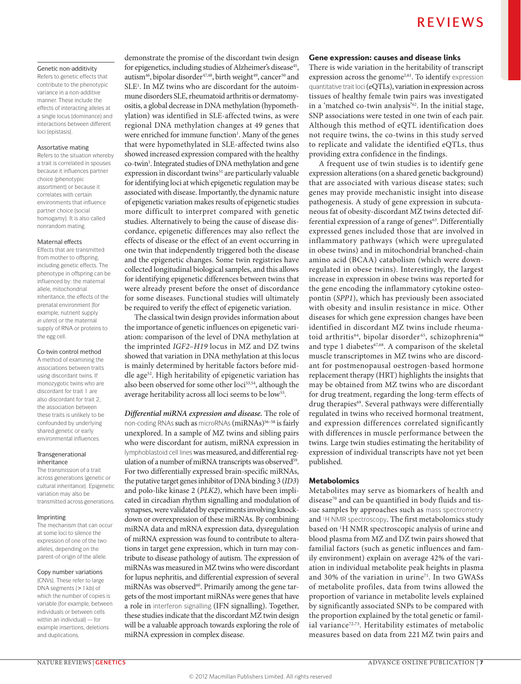# Genetic non-additivity

Refers to genetic effects that contribute to the phenotypic variance in a non-additive manner. These include the effects of interacting alleles at a single locus (dominance) and interactions between different loci (epistasis).

### Assortative mating

Refers to the situation whereby a trait is correlated in spouses because it influences partner choice (phenotypic assortment) or because it correlates with certain environments that influence partner choice (social homogamy). It is also called nonrandom mating.

### Maternal effects

Effects that are transmitted from mother to offspring including genetic effects. The phenotype in offspring can be influenced by: the maternal allele, mitochondrial inheritance, the effects of the prenatal environment (for example, nutrient supply *in utero*) or the maternal supply of RNA or proteins to the egg cell.

#### Co-twin control method

A method of examining the associations between traits using discordant twins. If monozygotic twins who are discordant for trait 1 are also discordant for trait 2, the association between these traits is unlikely to be confounded by underlying shared genetic or early environmental influences.

#### Transgenerational inheritance

The transmission of a trait across generations (genetic or cultural inheritance). Epigenetic variation may also be transmitted across generations.

#### Imprinting

The mechanism that can occur at some loci to silence the expression of one of the two alleles, depending on the parent-of-origin of the allele.

### Copy number variations

(CNVs). These refer to large DNA segments (>1kb) of which the number of copies is variable (for example, between individuals or between cells within an individual) — for example insertions, deletions and duplications.

demonstrate the promise of the discordant twin design for epigenetics, including studies of Alzheimer's disease<sup>45</sup>, autism<sup>46</sup>, bipolar disorder<sup>47,48</sup>, birth weight<sup>49</sup>, cancer<sup>50</sup> and SLE<sup>1</sup>. In MZ twins who are discordant for the autoimmune disorders SLE, rheumatoid arthritis or dermatomyositis, a global decrease in DNA methylation (hypomethylation) was identified in SLE-affected twins, as were regional DNA methylation changes at 49 genes that were enriched for immune function<sup>1</sup>. Many of the genes that were hypomethylated in SLE-affected twins also showed increased expression compared with the healthy co-twin<sup>1</sup>. Integrated studies of DNA methylation and gene expression in discordant twins<sup>51</sup> are particularly valuable for identifying loci at which epigenetic regulation may be associated with disease. Importantly, the dynamic nature of epigenetic variation makes results of epigenetic studies more difficult to interpret compared with genetic studies. Alternatively to being the cause of disease discordance, epigenetic differences may also reflect the effects of disease or the effect of an event occurring in one twin that independently triggered both the disease and the epigenetic changes. Some twin registries have collected longitudinal biological samples, and this allows for identifying epigenetic differences between twins that were already present before the onset of discordance for some diseases. Functional studies will ultimately be required to verify the effect of epigenetic variation.

The classical twin design provides information about the importance of genetic influences on epigenetic variation: comparison of the level of DNA methylation at the imprinted *IGF2–H19* locus in MZ and DZ twins showed that variation in DNA methylation at this locus is mainly determined by heritable factors before middle age<sup>52</sup>. High heritability of epigenetic variation has also been observed for some other loci<sup>53,54</sup>, although the average heritability across all loci seems to be low<sup>55</sup>.

*Differential miRNA expression and disease.* The role of non-coding RNAs such as microRNAs (miRNAs)<sup>56-58</sup> is fairly unexplored. In a sample of MZ twins and sibling pairs who were discordant for autism, miRNA expression in lymphoblastoid cell lines was measured, and differential regulation of a number of miRNA transcripts was observed<sup>59</sup>. For two differentially expressed brain-specific miRNAs, the putative target genes inhibitor of DNA binding 3 (*ID3*) and polo-like kinase 2 (*PLK2*), which have been implicated in circadian rhythm signalling and modulation of synapses, were validated by experiments involving knockdown or overexpression of these miRNAs. By combining miRNA data and mRNA expression data, dysregulation of miRNA expression was found to contribute to alterations in target gene expression, which in turn may contribute to disease pathology of autism. The expression of miRNAs was measured in MZ twins who were discordant for lupus nephritis, and differential expression of several miRNAs was observed<sup>60</sup>. Primarily among the gene targets of the most important miRNAs were genes that have a role in interferon signalling (IFN signalling). Together, these studies indicate that the discordant MZ twin design will be a valuable approach towards exploring the role of miRNA expression in complex disease.

# Gene expression: causes and disease links

There is wide variation in the heritability of transcript expression across the genome<sup>2,61</sup>. To identify expression quantitative trait loci (eQTLs), variation in expression across tissues of healthy female twin pairs was investigated in a 'matched co-twin analysis'62. In the initial stage, SNP associations were tested in one twin of each pair. Although this method of eQTL identification does not require twins, the co-twins in this study served to replicate and validate the identified eQTLs, thus providing extra confidence in the findings.

A frequent use of twin studies is to identify gene expression alterations (on a shared genetic background) that are associated with various disease states; such genes may provide mechanistic insight into disease pathogenesis. A study of gene expression in subcutaneous fat of obesity-discordant MZ twins detected differential expression of a range of genes<sup>63</sup>. Differentially expressed genes included those that are involved in inflammatory pathways (which were upregulated in obese twins) and in mitochondrial branched-chain amino acid (BCAA) catabolism (which were downregulated in obese twins). Interestingly, the largest increase in expression in obese twins was reported for the gene encoding the inflammatory cytokine osteopontin (*SPP1*), which has previously been associated with obesity and insulin resistance in mice. Other diseases for which gene expression changes have been identified in discordant MZ twins include rheumatoid arthritis<sup>64</sup>, bipolar disorder<sup>65</sup>, schizophrenia<sup>66</sup> and type 1 diabetes $67,68$ . A comparison of the skeletal muscle transcriptomes in MZ twins who are discordant for postmenopausal oestrogen-based hormone replacement therapy (HRT) highlights the insights that may be obtained from MZ twins who are discordant for drug treatment, regarding the long-term effects of drug therapies<sup>69</sup>. Several pathways were differentially regulated in twins who received hormonal treatment, and expression differences correlated significantly with differences in muscle performance between the twins. Large twin studies estimating the heritability of expression of individual transcripts have not yet been published.

# **Metabolomics**

Metabolites may serve as biomarkers of health and disease<sup>70</sup> and can be quantified in body fluids and tissue samples by approaches such as mass spectrometry and <sup>1</sup>H NMR spectroscopy. The first metabolomics study based on 1 H NMR spectroscopic analysis of urine and blood plasma from MZ and DZ twin pairs showed that familial factors (such as genetic influences and family environment) explain on average 42% of the variation in individual metabolite peak heights in plasma and 30% of the variation in urine<sup>71</sup>. In two GWASs of metabolite profiles, data from twins allowed the proportion of variance in metabolite levels explained by significantly associated SNPs to be compared with the proportion explained by the total genetic or familial variance<sup>72,73</sup>. Heritability estimates of metabolic measures based on data from 221 MZ twin pairs and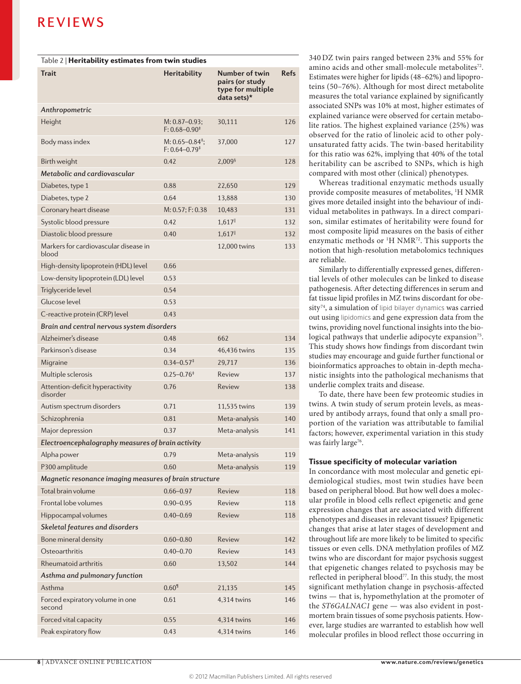| Table 2   Heritability estimates from twin studies     |                                                                       |                                                                       |             |  |  |
|--------------------------------------------------------|-----------------------------------------------------------------------|-----------------------------------------------------------------------|-------------|--|--|
| <b>Trait</b>                                           | <b>Heritability</b>                                                   | Number of twin<br>pairs (or study<br>type for multiple<br>data sets)* | <b>Refs</b> |  |  |
| Anthropometric                                         |                                                                       |                                                                       |             |  |  |
| Height                                                 | $M: 0.87 - 0.93$<br>$F: 0.68 - 0.90$ <sup><math>\ddagger</math></sup> | 30,111                                                                | 126         |  |  |
| Body mass index                                        | $M: 0.65 - 0.84$ <sup>‡</sup> ;<br>$F: 0.64 - 0.79$ <sup>‡</sup>      | 37,000                                                                | 127         |  |  |
| Birth weight                                           | 0.42                                                                  | 2,009 <sup>§</sup>                                                    | 128         |  |  |
| Metabolic and cardiovascular                           |                                                                       |                                                                       |             |  |  |
| Diabetes, type 1                                       | 0.88                                                                  | 22,650                                                                | 129         |  |  |
| Diabetes, type 2                                       | 0.64                                                                  | 13,888                                                                | 130         |  |  |
| Coronary heart disease                                 | M: 0.57; F: 0.38                                                      | 10,483                                                                | 131         |  |  |
| Systolic blood pressure                                | 0.42                                                                  | $1,617$ <sup><math>\parallel</math></sup>                             | 132         |  |  |
| Diastolic blood pressure                               | 0.40                                                                  | $1.617$ <sup><math>  </math></sup>                                    | 132         |  |  |
| Markers for cardiovascular disease in<br>blood         |                                                                       | 12,000 twins                                                          | 133         |  |  |
| High-density lipoprotein (HDL) level                   | 0.66                                                                  |                                                                       |             |  |  |
| Low-density lipoprotein (LDL) level                    | 0.53                                                                  |                                                                       |             |  |  |
| Triglyceride level                                     | 0.54                                                                  |                                                                       |             |  |  |
| Glucose level                                          | 0.53                                                                  |                                                                       |             |  |  |
| C-reactive protein (CRP) level                         | 0.43                                                                  |                                                                       |             |  |  |
| Brain and central nervous system disorders             |                                                                       |                                                                       |             |  |  |
| Alzheimer's disease                                    | 0.48                                                                  | 662                                                                   | 134         |  |  |
| Parkinson's disease                                    | 0.34                                                                  | 46,436 twins                                                          | 135         |  |  |
| Migraine                                               | $0.34 - 0.57^*$                                                       | 29,717                                                                | 136         |  |  |
| Multiple sclerosis                                     | $0.25 - 0.76$ <sup>‡</sup>                                            | Review                                                                | 137         |  |  |
| Attention-deficit hyperactivity<br>disorder            | 0.76                                                                  | Review                                                                | 138         |  |  |
| Autism spectrum disorders                              | 0.71                                                                  | 11,535 twins                                                          | 139         |  |  |
| Schizophrenia                                          | 0.81                                                                  | Meta-analysis                                                         | 140         |  |  |
| Major depression                                       | 0.37                                                                  | Meta-analysis                                                         | 141         |  |  |
| Electroencephalography measures of brain activity      |                                                                       |                                                                       |             |  |  |
| Alpha power                                            | 0.79                                                                  | Meta-analysis                                                         | 119         |  |  |
| P300 amplitude                                         | 0.60                                                                  | Meta-analysis                                                         | 119         |  |  |
| Magnetic resonance imaging measures of brain structure |                                                                       |                                                                       |             |  |  |
| Total brain volume                                     | $0.66 - 0.97$                                                         | Review                                                                | 118         |  |  |
| Frontal lobe volumes                                   | $0.90 - 0.95$                                                         | Review                                                                | 118         |  |  |
| Hippocampal volumes                                    | $0.40 - 0.69$                                                         | Review                                                                | 118         |  |  |
| Skeletal features and disorders                        |                                                                       |                                                                       |             |  |  |
| Bone mineral density                                   | $0.60 - 0.80$                                                         | Review                                                                | 142         |  |  |
| Osteoarthritis                                         | $0.40 - 0.70$                                                         | Review                                                                | 143         |  |  |
| Rheumatoid arthritis                                   | 0.60                                                                  | 13,502                                                                | 144         |  |  |
| Asthma and pulmonary function                          |                                                                       |                                                                       |             |  |  |
| Asthma                                                 | $0.60$ <sup>1</sup>                                                   | 21,135                                                                | 145         |  |  |
| Forced expiratory volume in one<br>second              | 0.61                                                                  | 4,314 twins                                                           | 146         |  |  |
| Forced vital capacity                                  | 0.55                                                                  | 4,314 twins                                                           | 146         |  |  |
| Peak expiratory flow                                   | 0.43                                                                  | 4,314 twins                                                           | 146         |  |  |

340 DZ twin pairs ranged between 23% and 55% for amino acids and other small-molecule metabolites<sup>72</sup>. Estimates were higher for lipids (48–62%) and lipoproteins (50–76%). Although for most direct metabolite measures the total variance explained by significantly associated SNPs was 10% at most, higher estimates of explained variance were observed for certain metabolite ratios. The highest explained variance (25%) was observed for the ratio of linoleic acid to other polyunsaturated fatty acids. The twin-based heritability for this ratio was 62%, implying that 40% of the total heritability can be ascribed to SNPs, which is high compared with most other (clinical) phenotypes.

Whereas traditional enzymatic methods usually provide composite measures of metabolites, 1 H NMR gives more detailed insight into the behaviour of individual metabolites in pathways. In a direct comparison, similar estimates of heritability were found for most composite lipid measures on the basis of either enzymatic methods or  $H NMR^{72}$ . This supports the notion that high-resolution metabolomics techniques are reliable.

Similarly to differentially expressed genes, differential levels of other molecules can be linked to disease pathogenesis. After detecting differences in serum and fat tissue lipid profiles in MZ twins discordant for obesity<sup>74</sup>, a simulation of lipid bilayer dynamics was carried out using lipidomics and gene expression data from the twins, providing novel functional insights into the biological pathways that underlie adipocyte expansion<sup>75</sup>. This study shows how findings from discordant twin studies may encourage and guide further functional or bioinformatics approaches to obtain in-depth mechanistic insights into the pathological mechanisms that underlie complex traits and disease.

To date, there have been few proteomic studies in twins. A twin study of serum protein levels, as measured by antibody arrays, found that only a small proportion of the variation was attributable to familial factors; however, experimental variation in this study was fairly large<sup>76</sup>.

# Tissue specificity of molecular variation

In concordance with most molecular and genetic epidemiological studies, most twin studies have been based on peripheral blood. But how well does a molecular profile in blood cells reflect epigenetic and gene expression changes that are associated with different phenotypes and diseases in relevant tissues? Epigenetic changes that arise at later stages of development and throughout life are more likely to be limited to specific tissues or even cells. DNA methylation profiles of MZ twins who are discordant for major psychosis suggest that epigenetic changes related to psychosis may be reflected in peripheral blood<sup>77</sup>. In this study, the most significant methylation change in psychosis-affected twins — that is, hypomethylation at the promoter of the *ST6GALNAC1* gene — was also evident in postmortem brain tissues of some psychosis patients. However, large studies are warranted to establish how well molecular profiles in blood reflect those occurring in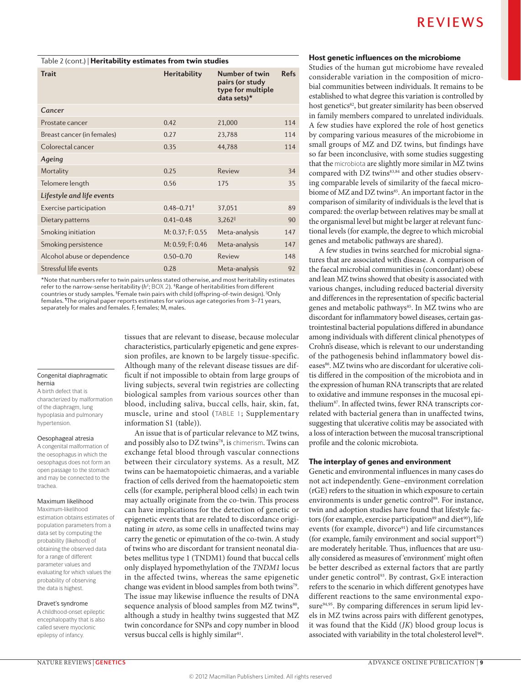Table 2 (cont.) | Heritability estimates from twin studies

| <b>Trait</b>                | <b>Heritability</b>        | Number of twin<br>pairs (or study<br>type for multiple<br>data sets)* | <b>Refs</b> |
|-----------------------------|----------------------------|-----------------------------------------------------------------------|-------------|
| Cancer                      |                            |                                                                       |             |
| Prostate cancer             | 0.42                       | 21,000                                                                | 114         |
| Breast cancer (in females)  | 0.27                       | 23,788                                                                | 114         |
| Colorectal cancer           | 0.35                       | 44,788                                                                | 114         |
| Ageing                      |                            |                                                                       |             |
| Mortality                   | 0.25                       | Review                                                                | 34          |
| Telomere length             | 0.56                       | 175                                                                   | 35          |
| Lifestyle and life events   |                            |                                                                       |             |
| Exercise participation      | $0.48 - 0.71$ <sup>#</sup> | 37,051                                                                | 89          |
| Dietary patterns            | $0.41 - 0.48$              | 3,262                                                                 | 90          |
| Smoking initiation          | M: 0.37; F: 0.55           | Meta-analysis                                                         | 147         |
| Smoking persistence         | M: 0.59; F: 0.46           | Meta-analysis                                                         | 147         |
| Alcohol abuse or dependence | $0.50 - 0.70$              | Review                                                                | 148         |
| Stressful life events       | 0.28                       | Meta-analysis                                                         | 92          |

\*Note that numbers refer to twin pairs unless stated otherwise, and most heritability estimates refer to the narrow-sense heritability (h<sup>2</sup>; BOX 2). <sup>‡</sup>Range of heritabilities from different countries or study samples. <sup>§F</sup>emale twin pairs with child (offspring-of-twin design). <sup>||</sup>Only females. ¶ The original paper reports estimates for various age categories from 3–71 years, separately for males and females. F, females; M, males.

# Congenital diaphragmatic hernia

A birth defect that is characterized by malformation of the diaphragm, lung hypoplasia and pulmonary hypertension.

#### Oesophageal atresia

A congenital malformation of the oesophagus in which the oesophagus does not form an open passage to the stomach and may be connected to the trachea.

# Maximum likelihood

Maximum-likelihood estimation obtains estimates of population parameters from a data set by computing the probability (likehood) of obtaining the observed data for a range of different parameter values and evaluating for which values the probability of observing the data is highest.

# Dravet's syndrome

A childhood-onset epileptic encephalopathy that is also called severe myoclonic epilepsy of infancy.

tissues that are relevant to disease, because molecular characteristics, particularly epigenetic and gene expression profiles, are known to be largely tissue-specific. Although many of the relevant disease tissues are difficult if not impossible to obtain from large groups of living subjects, several twin registries are collecting biological samples from various sources other than blood, including saliva, buccal cells, hair, skin, fat, muscle, urine and stool (TABLE 1; Supplementary information S1 (table)).

An issue that is of particular relevance to MZ twins, and possibly also to DZ twins<sup>78</sup>, is chimerism. Twins can exchange fetal blood through vascular connections between their circulatory systems. As a result, MZ twins can be haematopoietic chimaeras, and a variable fraction of cells derived from the haematopoietic stem cells (for example, peripheral blood cells) in each twin may actually originate from the co-twin. This process can have implications for the detection of genetic or epigenetic events that are related to discordance originating *in utero*, as some cells in unaffected twins may carry the genetic or epimutation of the co-twin. A study of twins who are discordant for transient neonatal diabetes mellitus type 1 (TNDM1) found that buccal cells only displayed hypomethylation of the *TNDM1* locus in the affected twins, whereas the same epigenetic change was evident in blood samples from both twins<sup>79</sup>. The issue may likewise influence the results of DNA sequence analysis of blood samples from MZ twins<sup>80</sup>, although a study in healthy twins suggested that MZ twin concordance for SNPs and copy number in blood versus buccal cells is highly similar<sup>81</sup>.

# Host genetic influences on the microbiome

Studies of the human gut microbiome have revealed considerable variation in the composition of microbial communities between individuals. It remains to be established to what degree this variation is controlled by host genetics<sup>82</sup>, but greater similarity has been observed in family members compared to unrelated individuals. A few studies have explored the role of host genetics by comparing various measures of the microbiome in small groups of MZ and DZ twins, but findings have so far been inconclusive, with some studies suggesting that the microbiota are slightly more similar in MZ twins compared with DZ twins83,84 and other studies observing comparable levels of similarity of the faecal microbiome of MZ and DZ twins<sup>85</sup>. An important factor in the comparison of similarity of individuals is the level that is compared: the overlap between relatives may be small at the organismal level but might be larger at relevant functional levels (for example, the degree to which microbial genes and metabolic pathways are shared).

A few studies in twins searched for microbial signatures that are associated with disease. A comparison of the faecal microbial communities in (concordant) obese and lean MZ twins showed that obesity is associated with various changes, including reduced bacterial diversity and differences in the representation of specific bacterial genes and metabolic pathways<sup>85</sup>. In MZ twins who are discordant for inflammatory bowel diseases, certain gastrointestinal bacterial populations differed in abundance among individuals with different clinical phenotypes of Crohn's disease, which is relevant to our understanding of the pathogenesis behind inflammatory bowel diseases<sup>86</sup>. MZ twins who are discordant for ulcerative colitis differed in the composition of the microbiota and in the expression of human RNA transcripts that are related to oxidative and immune responses in the mucosal epithelium<sup>87</sup>. In affected twins, fewer RNA transcripts correlated with bacterial genera than in unaffected twins, suggesting that ulcerative colitis may be associated with a loss of interaction between the mucosal transcriptional profile and the colonic microbiota.

# The interplay of genes and environment

Genetic and environmental influences in many cases do not act independently. Gene–environment correlation (rGE) refers to the situation in which exposure to certain environments is under genetic control<sup>88</sup>. For instance, twin and adoption studies have found that lifestyle factors (for example, exercise participation $89$  and diet $90$ ), life events (for example, divorce<sup>91</sup>) and life circumstances (for example, family environment and social support $92$ ) are moderately heritable. Thus, influences that are usually considered as measures of 'environment' might often be better described as external factors that are partly under genetic control<sup>93</sup>. By contrast,  $G \times E$  interaction refers to the scenario in which different genotypes have different reactions to the same environmental exposure<sup>94,95</sup>. By comparing differences in serum lipid levels in MZ twins across pairs with different genotypes, it was found that the Kidd (*JK*) blood group locus is associated with variability in the total cholesterol level<sup>96</sup>.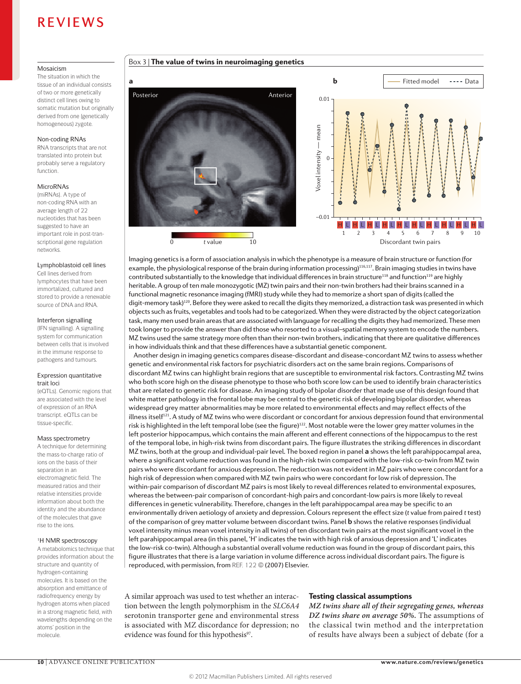# Mosaicism

The situation in which the tissue of an individual consists of two or more genetically distinct cell lines owing to somatic mutation but originally derived from one (genetically homogeneous) zygote.

# Non-coding RNAs

RNA transcripts that are not translated into protein but probably serve a regulatory function.

### MicroRNAs

(miRNAs). A type of non-coding RNA with an average length of 22 nucleotides that has been suggested to have an important role in post-transcriptional gene regulation networks.

# Lymphoblastoid cell lines

Cell lines derived from lymphocytes that have been immortalized, cultured and stored to provide a renewable source of DNA and RNA.

# Interferon signalling

(IFN signalling). A signalling system for communication between cells that is involved in the immune response to pathogens and tumours.

# Expression quantitative trait loci

(eQTLs). Genomic regions that are associated with the level of expression of an RNA transcript. eQTLs can be tissue-specific.

# Mass spectrometry

A technique for determining the mass-to-charge ratio of ions on the basis of their separation in an electromagnetic field. The measured ratios and their relative intensities provide information about both the identity and the abundance of the molecules that gave rise to the ions.

# <sup>1</sup>H NMR spectroscopy

A metabolomics technique that provides information about the structure and quantity of hydrogen-containing molecules. It is based on the absorption and emittance of radiofrequency energy by hydrogen atoms when placed in a strong magnetic field, with wavelengths depending on the atoms' position in the molecule.



**Nature Reviews** | **Genetics** example, the physiological response of the brain during information processing)116,117. Brain imaging studies in twins have Imaging genetics is a form of association analysis in which the phenotype is a measure of brain structure or function (for contributed substantially to the knowledge that individual differences in brain structure<sup>118</sup> and function<sup>119</sup> are highly heritable. A group of ten male monozygotic (MZ) twin pairs and their non-twin brothers had their brains scanned in a functional magnetic resonance imaging (fMRI) study while they had to memorize a short span of digits (called the digit-memory task)<sup>120</sup>. Before they were asked to recall the digits they memorized, a distraction task was presented in which objects such as fruits, vegetables and tools had to be categorized. When they were distracted by the object categorization task, many men used brain areas that are associated with language for recalling the digits they had memorized. These men took longer to provide the answer than did those who resorted to a visual–spatial memory system to encode the numbers. MZ twins used the same strategy more often than their non-twin brothers, indicating that there are qualitative differences in how individuals think and that these differences have a substantial genetic component.

Another design in imaging genetics compares disease-discordant and disease-concordant MZ twins to assess whether genetic and environmental risk factors for psychiatric disorders act on the same brain regions. Comparisons of discordant MZ twins can highlight brain regions that are susceptible to environmental risk factors. Contrasting MZ twins who both score high on the disease phenotype to those who both score low can be used to identify brain characteristics that are related to genetic risk for disease. An imaging study of bipolar disorder that made use of this design found that white matter pathology in the frontal lobe may be central to the genetic risk of developing bipolar disorder, whereas widespread grey matter abnormalities may be more related to environmental effects and may reflect effects of the illness itself<sup>121</sup>. A study of MZ twins who were discordant or concordant for anxious depression found that environmental risk is highlighted in the left temporal lobe (see the figure)<sup>122</sup>. Most notable were the lower grey matter volumes in the left posterior hippocampus, which contains the main afferent and efferent connections of the hippocampus to the rest of the temporal lobe, in high-risk twins from discordant pairs. The figure illustrates the striking differences in discordant MZ twins, both at the group and individual-pair level. The boxed region in panel **a** shows the left parahippocampal area, where a significant volume reduction was found in the high-risk twin compared with the low-risk co-twin from MZ twin pairs who were discordant for anxious depression. The reduction was not evident in MZ pairs who were concordant for a high risk of depression when compared with MZ twin pairs who were concordant for low risk of depression. The within-pair comparison of discordant MZ pairs is most likely to reveal differences related to environmental exposures, whereas the between-pair comparison of concordant-high pairs and concordant-low pairs is more likely to reveal differences in genetic vulnerability. Therefore, changes in the left parahippocampal area may be specific to an environmentally driven aetiology of anxiety and depression. Colours represent the effect size (*t* value from paired *t* test) of the comparison of grey matter volume between discordant twins. Panel **b** shows the relative responses (individual voxel intensity minus mean voxel intensity in all twins) of ten discordant twin pairs at the most significant voxel in the left parahippocampal area (in this panel, 'H' indicates the twin with high risk of anxious depression and 'L' indicates the low-risk co-twin). Although a substantial overall volume reduction was found in the group of discordant pairs, this figure illustrates that there is a large variation in volume difference across individual discordant pairs. The figure is reproduced, with permission, from REF. 122 © (2007) Elsevier.

A similar approach was used to test whether an interaction between the length polymorphism in the *SLC6A4*  serotonin transporter gene and environmental stress is associated with MZ discordance for depression; no evidence was found for this hypothesis<sup>97</sup>.

# Testing classical assumptions

*MZ twins share all of their segregating genes, whereas DZ twins share on average 50%.* The assumptions of the classical twin method and the interpretation of results have always been a subject of debate (for a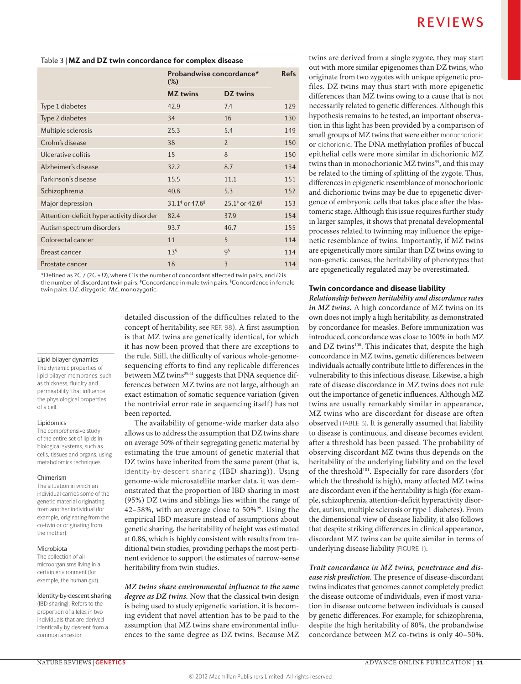Table 3 | MZ and DZ twin concordance for complex disease

|                                          | Probandwise concordance*<br>$(\%)$     |                                        | Refs |  |
|------------------------------------------|----------------------------------------|----------------------------------------|------|--|
|                                          | <b>MZ</b> twins                        | DZ twins                               |      |  |
| Type 1 diabetes                          | 42.9                                   | 7.4                                    | 129  |  |
| Type 2 diabetes                          | 34                                     | 16                                     | 130  |  |
| Multiple sclerosis                       | 25.3                                   | 5.4                                    | 149  |  |
| Crohn's disease                          | 38                                     | $\overline{2}$                         | 150  |  |
| Ulcerative colitis                       | 15                                     | 8                                      | 150  |  |
| Alzheimer's disease                      | 32.2                                   | 8.7                                    | 134  |  |
| Parkinson's disease                      | 15.5                                   | 11.1                                   | 151  |  |
| Schizophrenia                            | 40.8                                   | 5.3                                    | 152  |  |
| Major depression                         | 31.1 <sup>‡</sup> or 47.6 <sup>§</sup> | 25.1 <sup>‡</sup> or 42.6 <sup>§</sup> | 153  |  |
| Attention-deficit hyperactivity disorder | 82.4                                   | 37.9                                   | 154  |  |
| Autism spectrum disorders                | 93.7                                   | 46.7                                   | 155  |  |
| Colorectal cancer                        | 11                                     | 5                                      | 114  |  |
| Breast cancer                            | $13^{5}$                               | 9 <sup>§</sup>                         | 114  |  |
| Prostate cancer                          | 18                                     | $\overline{3}$                         | 114  |  |
|                                          |                                        |                                        |      |  |

\*Defined as 2*C* / (2*C*+*D*), where *C* is the number of concordant affected twin pairs, and *D* is the number of discordant twin pairs. <sup>‡</sup>Concordance in male twin pairs. <sup>§</sup>Concordance in female twin pairs. DZ, dizygotic; MZ, monozygotic.

### Lipid bilayer dynamics

The dynamic properties of lipid bilayer membranes, such as thickness, fluidity and permeability, that influence the physiological properties of a cell.

#### Lipidomics

The comprehensive study of the entire set of lipids in biological systems, such as cells, tissues and organs, using metabolomics techniques.

#### Chimerism

The situation in which an individual carries some of the genetic material originating from another individual (for example, originating from the co-twin or originating from the mother).

#### Microbiota

The collection of all microorganisms living in a certain environment (for example, the human gut).

# Identity-by-descent sharing

(IBD sharing). Refers to the proportion of alleles in two individuals that are derived identically by descent from a common ancestor.

detailed discussion of the difficulties related to the concept of heritability, see REF. 98). A first assumption is that MZ twins are genetically identical, for which it has now been proved that there are exceptions to the rule. Still, the difficulty of various whole-genomesequencing efforts to find any replicable differences between MZ twins<sup>39,41</sup> suggests that DNA sequence differences between MZ twins are not large, although an exact estimation of somatic sequence variation (given the nontrivial error rate in sequencing itself) has not been reported.

The availability of genome-wide marker data also allows us to address the assumption that DZ twins share on average 50% of their segregating genetic material by estimating the true amount of genetic material that DZ twins have inherited from the same parent (that is, identity-by-descent sharing (IBD sharing)). Using genome-wide microsatellite marker data, it was demonstrated that the proportion of IBD sharing in most (95%) DZ twins and siblings lies within the range of 42–58%, with an average close to 50%<sup>99</sup>. Using the empirical IBD measure instead of assumptions about genetic sharing, the heritability of height was estimated at 0.86, which is highly consistent with results from traditional twin studies, providing perhaps the most pertinent evidence to support the estimates of narrow-sense heritability from twin studies.

*MZ twins share environmental influence to the same degree as DZ twins.* Now that the classical twin design is being used to study epigenetic variation, it is becoming evident that novel attention has to be paid to the assumption that MZ twins share environmental influences to the same degree as DZ twins. Because MZ twins are derived from a single zygote, they may start out with more similar epigenomes than DZ twins, who originate from two zygotes with unique epigenetic profiles. DZ twins may thus start with more epigenetic differences than MZ twins owing to a cause that is not necessarily related to genetic differences. Although this hypothesis remains to be tested, an important observation in this light has been provided by a comparison of small groups of MZ twins that were either monochorionic or dichorionic. The DNA methylation profiles of buccal epithelial cells were more similar in dichorionic MZ twins than in monochorionic MZ twins<sup>55</sup>, and this may be related to the timing of splitting of the zygote. Thus, differences in epigenetic resemblance of monochorionic and dichorionic twins may be due to epigenetic divergence of embryonic cells that takes place after the blastomeric stage. Although this issue requires further study in larger samples, it shows that prenatal developmental processes related to twinning may influence the epigenetic resemblance of twins. Importantly, if MZ twins are epigenetically more similar than DZ twins owing to non-genetic causes, the heritability of phenotypes that are epigenetically regulated may be overestimated.

# Twin concordance and disease liability

*Relationship between heritability and discordance rates in MZ twins.* A high concordance of MZ twins on its own does not imply a high heritability, as demonstrated by concordance for measles. Before immunization was introduced, concordance was close to 100% in both MZ and DZ twins<sup>100</sup>. This indicates that, despite the high concordance in MZ twins, genetic differences between individuals actually contribute little to differences in the vulnerability to this infectious disease. Likewise, a high rate of disease discordance in MZ twins does not rule out the importance of genetic influences. Although MZ twins are usually remarkably similar in appearance, MZ twins who are discordant for disease are often observed (TABLE 3). It is generally assumed that liability to disease is continuous, and disease becomes evident after a threshold has been passed. The probability of observing discordant MZ twins thus depends on the heritability of the underlying liability and on the level of the threshold<sup>101</sup>. Especially for rare disorders (for which the threshold is high), many affected MZ twins are discordant even if the heritability is high (for example, schizophrenia, attention-deficit hyperactivity disorder, autism, multiple sclerosis or type 1 diabetes). From the dimensional view of disease liability, it also follows that despite striking differences in clinical appearance, discordant MZ twins can be quite similar in terms of underlying disease liability (FIGURE 1).

*Trait concordance in MZ twins, penetrance and disease risk prediction.* The presence of disease-discordant twins indicates that genomes cannot completely predict the disease outcome of individuals, even if most variation in disease outcome between individuals is caused by genetic differences. For example, for schizophrenia, despite the high heritability of 80%, the probandwise concordance between MZ co-twins is only 40–50%.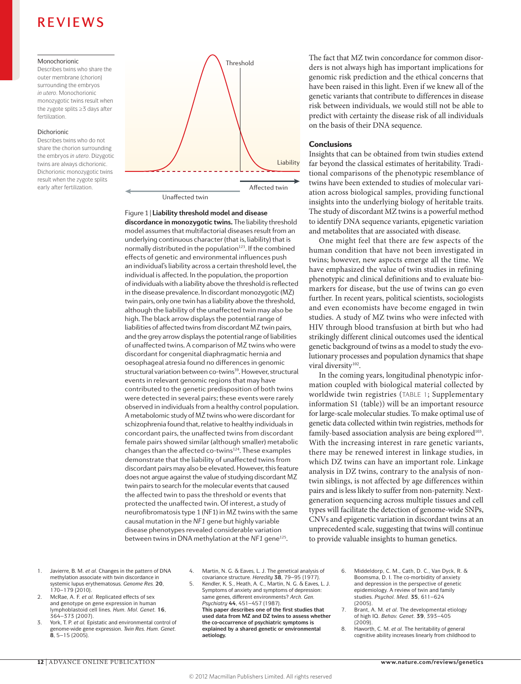#### Monochorionic

Describes twins who share the outer membrane (chorion) surrounding the embryos *in utero*. Monochorionic monozygotic twins result when the zygote splits ≥3 days after fertilization.

#### Dichorionic

Describes twins who do not share the chorion surrounding the embryos *in utero*. Dizygotic twins are always dichorionic. Dichorionic monozygotic twins result when the zygote splits early after fertilization.



**Nature Reviews** | **Genetics** Figure 1 | **Liability threshold model and disease discordance in monozygotic twins.** The liability threshold model assumes that multifactorial diseases result from an underlying continuous character (that is, liability) that is normally distributed in the population<sup>123</sup>. If the combined effects of genetic and environmental influences push an individual's liability across a certain threshold level, the individual is affected. In the population, the proportion of individuals with a liability above the threshold is reflected in the disease prevalence. In discordant monozygotic (MZ) twin pairs, only one twin has a liability above the threshold, although the liability of the unaffected twin may also be high. The black arrow displays the potential range of liabilities of affected twins from discordant MZ twin pairs, and the grey arrow displays the potential range of liabilities of unaffected twins. A comparison of MZ twins who were discordant for congenital diaphragmatic hernia and oesophageal atresia found no differences in genomic structural variation between co-twins<sup>39</sup>. However, structural events in relevant genomic regions that may have contributed to the genetic predisposition of both twins were detected in several pairs; these events were rarely observed in individuals from a healthy control population. A metabolomic study of MZ twins who were discordant for schizophrenia found that, relative to healthy individuals in concordant pairs, the unaffected twins from discordant female pairs showed similar (although smaller) metabolic changes than the affected co-twins $124$ . These examples demonstrate that the liability of unaffected twins from discordant pairs may also be elevated. However, this feature does not argue against the value of studying discordant MZ twin pairs to search for the molecular events that caused the affected twin to pass the threshold or events that protected the unaffected twin. Of interest, a study of neurofibromatosis type 1 (NF1) in MZ twins with the same causal mutation in the *NF1* gene but highly variable disease phenotypes revealed considerable variation between twins in DNA methylation at the NF1 gene<sup>125</sup>.

The fact that MZ twin concordance for common disorders is not always high has important implications for genomic risk prediction and the ethical concerns that have been raised in this light. Even if we knew all of the genetic variants that contribute to differences in disease risk between individuals, we would still not be able to predict with certainty the disease risk of all individuals on the basis of their DNA sequence.

# **Conclusions**

Insights that can be obtained from twin studies extend far beyond the classical estimates of heritability. Traditional comparisons of the phenotypic resemblance of twins have been extended to studies of molecular variation across biological samples, providing functional insights into the underlying biology of heritable traits. The study of discordant MZ twins is a powerful method to identify DNA sequence variants, epigenetic variation and metabolites that are associated with disease.

One might feel that there are few aspects of the human condition that have not been investigated in twins; however, new aspects emerge all the time. We have emphasized the value of twin studies in refining phenotypic and clinical definitions and to evaluate biomarkers for disease, but the use of twins can go even further. In recent years, political scientists, sociologists and even economists have become engaged in twin studies. A study of MZ twins who were infected with HIV through blood transfusion at birth but who had strikingly different clinical outcomes used the identical genetic background of twins as a model to study the evolutionary processes and population dynamics that shape viral diversity<sup>102</sup>.

In the coming years, longitudinal phenotypic information coupled with biological material collected by worldwide twin registries (TABLE 1; Supplementary information S1 (table)) will be an important resource for large-scale molecular studies. To make optimal use of genetic data collected within twin registries, methods for family-based association analysis are being explored<sup>103</sup>. With the increasing interest in rare genetic variants, there may be renewed interest in linkage studies, in which DZ twins can have an important role. Linkage analysis in DZ twins, contrary to the analysis of nontwin siblings, is not affected by age differences within pairs and is less likely to suffer from non-paternity. Nextgeneration sequencing across multiple tissues and cell types will facilitate the detection of genome-wide SNPs, CNVs and epigenetic variation in discordant twins at an unprecedented scale, suggesting that twins will continue to provide valuable insights to human genetics.

- 1. Javierre, B. M. *et al.* Changes in the pattern of DNA methylation associate with twin discordance in systemic lupus erythematosus. *Genome Res.* **20**, 170–179 (2010).
- McRae, A. F. et al. Replicated effects of sex and genotype on gene expression in human lymphoblastoid cell lines. *Hum. Mol. Genet.* **16**, 364–373 (2007).
- York, T. P. *et al.* Epistatic and environmental control of genome-wide gene expression. *Twin Res. Hum. Genet.* **8**, 5–15 (2005).
- 4. Martin, N. G. & Eaves, L. J. The genetical analysis of covariance structure. *Heredity* **38**, 79–95 (1977).
- Kendler, K. S., Heath, A. C., Martin, N. G. & Eaves, L. J. Symptoms of anxiety and symptoms of depression: same genes, different environments? *Arch. Gen. Psychiatry* **44**, 451–457 (1987). **This paper describes one of the first studies that used data from MZ and DZ twins to assess whether the co‑occurrence of psychiatric symptoms is explained by a shared genetic or environmental aetiology.**
- 6. Middeldorp, C. M., Cath, D. C., Van Dyck, R. & Boomsma, D. I. The co-morbidity of anxiety and depression in the perspective of genetic epidemiology. A review of twin and family studies. *Psychol. Med.* **35**, 611–624 (2005).
- 7. Brant, A. M. *et al.* The developmental etiology of high IQ. *Behav. Genet.* **39**, 393–405  $(2009)$
- 8. Haworth, C. M. *et al.* The heritability of general cognitive ability increases linearly from childhood to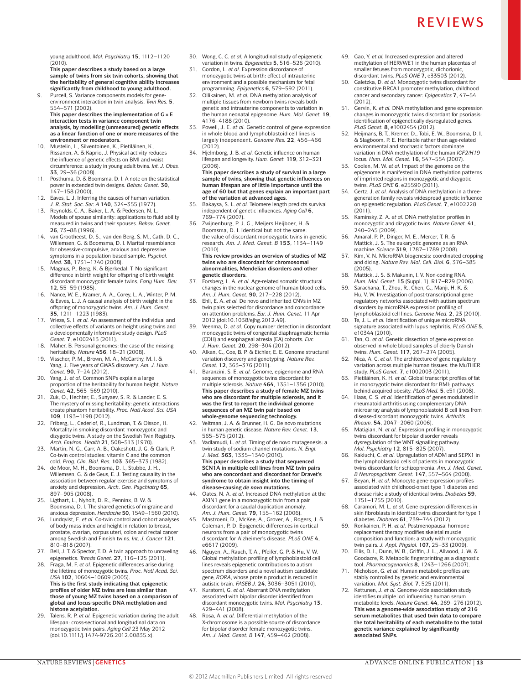young adulthood. *Mol. Psychiatry* **15**, 1112–1120  $(2010)$ 

**This paper describes a study based on a large sample of twins from six twin cohorts, showing that the heritability of general cognitive ability increases significantly from childhood to young adulthood.**

9. Purcell, S. Variance components models for geneenvironment interaction in twin analysis. *Twin Res.* **5**, 554–571 (2002).

**This paper describes the implementation of G×E interaction tests in variance component twin analysis, by modelling (unmeasured) genetic effects as a linear function of one or more measures of the environment or moderators.**

- 10. Mustelin, L., Silventoinen, K., Pietiläinen, K., Rissanen, A. & Kaprio, J. Physical activity reduces the influence of genetic effects on BMI and waist circumference: a study in young adult twins. *Int. J. Obes.* **33**, 29–36 (2008).
- 11. Posthuma, D. & Boomsma, D. I. A note on the statistical power in extended twin designs. *Behav. Genet.* **30**, 147–158 (2000).
- 12. Eaves, L. J. Inferring the causes of human variation. *J. R. Stat. Soc. Ser. A* **140**, 324–355 (1977).
- 13. Reynolds, C. A., Baker, L. A. & Pedersen, N. L. Models of spouse similarity: applications to fluid ability measured in twins and their spouses. *Behav. Genet.* **26**, 73–88 (1996).
- 14. van Grootheest, D. S., van den Berg, S. M., Cath, D. C., Willemsen, G. & Boomsma, D. I. Marital resemblance for obsessive-compulsive, anxious and depressive symptoms in a population-based sample. *Psychol. Med.* **38**, 1731–1740 (2008).
- 15. Magnus, P., Berg, K. & Bjerkedal, T. No significant difference in birth weight for offspring of birth weight discordant monozygotic female twins. *Early Hum. Dev.* **12**, 55–59 (1985).
- 16. Nance, W. E., Kramer, A. A., Corey, L. A., Winter, P. M. & Eaves, L. J. A causal analysis of birth weight in the offspring of monozygotic twins. *Am. J. Hum. Genet.* **35**, 1211–1223 (1983).
- 17. Vrieze, S. I. *et al.* An assessment of the individual and collective effects of variants on height using twins and a developmentally informative study design. *PLoS Genet.* **7**, e1002413 (2011).
- 18. Maher, B. Personal genomes: the case of the missing heritability. *Nature* **456**, 18–21 (2008).
- 19. Visscher, P. M., Brown, M. A., McCarthy, M. I. & Yang, J. Five years of GWAS discovery. *Am. J. Hum. Genet.* **90**, 7–24 (2012).
- 20. Yang, J. *et al.* Common SNPs explain a large proportion of the heritability for human height. *Nature*
- *Genet.* **42**, 565–569 (2010). 21. Zuk, O., Hechter, E., Sunyaev, S. R. & Lander, E. S. The mystery of missing heritability: genetic interactions create phantom heritability. *Proc. Natl Acad. Sci. USA* **109**, 1193–1198 (2012).
- 22. Friberg, L., Cederlof, R., Lundman, T. & Olsson, H. Mortality in smoking discordant monozygotic and dizygotic twins. A study on the Swedish Twin Registry. *Arch. Environ. Health* **21**, 508–513 (1970).
- 23. Martin, N. G., Carr, A. B., Oakeshott, J. G. & Clark, P. Co-twin control studies: vitamin C and the common
- cold. *Prog. Clin. Biol. Res.* **103**, 365–373 (1982). 24. de Moor, M. H., Boomsma, D. I., Stubbe, J. H., Willemsen, G. & de Geus, E. J. Testing causality in the association between regular exercise and symptoms of anxiety and depression. *Arch. Gen. Psychiatry* **65**,
- 897–905 (2008). 25. Ligthart, L., Nyholt, D. R., Penninx, B. W. & Boomsma, D. I. The shared genetics of migraine and anxious depression. *Headache* **50**, 1549–1560 (2010).
- 26. Lundqvist, E. *et al.* Co-twin control and cohort analyses of body mass index and height in relation to breast, prostate, ovarian, corpus uteri, colon and rectal cancer among Swedish and Finnish twins. *Int. J. Cancer* **121**, 810–818 (2007).
- 27. Bell, J. T. & Spector, T. D. A twin approach to unraveling epigenetics. *Trends Genet.* **27**, 116–125 (2011).
- 28. Fraga, M. F. *et al.* Epigenetic differences arise during the lifetime of monozygotic twins. *Proc. Natl Acad. Sci. USA* **102**, 10604–10609 (2005). **This is the first study indicating that epigenetic profiles of older MZ twins are less similar than those of young MZ twins based on a comparison of global and locus-specific DNA methylation and histone acetylation.**
- 29. Talens, R. P. *et al.* Epigenetic variation during the adult lifespan: cross-sectional and longitudinal data on monozygotic twin pairs. *Aging Cell* 23 May 2012 (doi:10.1111/j.1474-9726.2012.00835.x).
- 30. Wong, C. C. *et al.* A longitudinal study of epigenetic
- variation in twins. *Epigenetics* **5**, 516–526 (2010). 31. Gordon, L. *et al.* Expression discordance of monozygotic twins at birth: effect of intrauterine environment and a possible mechanism for fetal
- programming. *Epigenetics* **6**, 579–592 (2011). 32. Ollikainen, M. *et al.* DNA methylation analysis of multiple tissues from newborn twins reveals both genetic and intrauterine components to variation in the human neonatal epigenome. *Hum. Mol. Genet.* **19**, 4176–4188 (2010).
- 33. Powell, J. E. *et al.* Genetic control of gene expression in whole blood and lymphoblastoid cell lines is largely independent. *Genome Res.* **22**, 456–466 (2012).
- 34. Hjelmborg, J. B. *et al.* Genetic influence on human lifespan and longevity. *Hum. Genet.* **119**, 312–321 (2006).

**This paper describes a study of survival in a large sample of twins, showing that genetic influences on human lifespan are of little importance until the age of 60 but that genes explain an important part of the variation at advanced ages.**

- 35. Bakaysa, S. L. *et al.* Telomere length predicts survival independent of genetic influences. *Aging Cell* **6**, 769–774 (2007).
- 36. Zwijnenburg, P. J. G., Meijers Heijboer, H. & Boomsma, D. I. Identical but not the same: the value of discordant monozygotic twins in genetic research. *Am. J. Med. Genet. B* **153**, 1134–1149 (2010). **This review provides an overview of studies of MZ**

**twins who are discordant for chromosomal abnormalities, Mendelian disorders and other genetic disorders.**

- 37. Forsberg, L. A. *et al.* Age-related somatic structural changes in the nuclear genome of human blood cells. *Am. J. Hum. Genet.* **90**, 217–228 (2012).
- 38. Ehli, E. A. *et al.* De novo and inherited CNVs in MZ twin pairs selected for discordance and concordance on attention problems. *Eur. J. Hum. Genet.* 11 Apr 2012 (doi:10.1038/ejhg.2012.49).
- 39. Veenma, D. *et al.* Copy number detection in discordant monozygotic twins of congenital diaphragmatic hernia (CDH) and esophageal atresia (EA) cohorts. *Eur. J. Hum. Genet.* **20**, 298–304 (2012).
- 40. Alkan, C., Coe, B. P. & Eichler, E. E. Genome structural variation discovery and genotyping. *Nature Rev. Genet.* **12**, 363–376 (2011).
- Baranzini, S. E. *et al.* Genome, epigenome and RNA sequences of monozygotic twins discordant for multiple sclerosis. *Nature* **464**, 1351–1356 (2010). **This paper describes a study of female MZ twins who are discordant for multiple sclerosis, and it was the first to report the individual genome sequences of an MZ twin pair based on whole-genome sequencing technology.**
- 42. Veltman, J. A. & Brunner, H. G. De novo mutations in human genetic disease. *Nature Rev. Genet.* **13**, 565–575 (2012).
- 43. Vadlamudi, L. *et al.* Timing of de novo mutagenesis: a twin study of sodium-channel mutations. *N. Engl. J. Med.* **363**, 1335–1340 (2010). **This paper describes a study that sequenced SCN1A in multiple cell lines from MZ twin pairs who are concordant and discordant for Dravet's syndrome to obtain insight into the timing of disease-causing** *de novo* **mutations.**
- 44. Oates, N. A. *et al.* Increased DNA methylation at the AXIN1 gene in a monozygotic twin from a pair discordant for a caudal duplication anomaly. *Am. J. Hum. Genet.* **79**, 155–162 (2006).
- 45. Mastroeni, D., McKee, A., Grover, A., Rogers, J. & Coleman, P. D. Epigenetic differences in cortical neurons from a pair of monozygotic twins discordant for Alzheimer's disease. *PLoS ONE* **4**, e6617 (2009).
- 46. Nguyen, A., Rauch, T. A., Pfeifer, G. P. & Hu, V. W. Global methylation profiling of lymphoblastoid cell lines reveals epigenetic contributions to autism spectrum disorders and a novel autism candidate gene, *RORA*, whose protein product is reduced in autistic brain. *FASEB J.* **24**, 3036–3051 (2010).
- 47. Kuratomi, G. *et al.* Aberrant DNA methylation associated with bipolar disorder identified from discordant monozygotic twins. *Mol. Psychiatry* **13**, 429–441 (2008).
- 48. Rosa, A. *et al.* Differential methylation of the X-chromosome is a possible source of discordance for bipolar disorder female monozygotic twins. *Am. J. Med. Genet. B* **147**, 459–462 (2008).
- 49. Gao, Y. *et al.* Increased expression and altered methylation of HERVWE1 in the human placentas of smaller fetuses from monozygotic, dichorionic, discordant twins. *PLoS ONE* **7**, e33503 (2012).
- 50. Galetzka, D. *et al.* Monozygotic twins discordant for constitutive BRCA1 promoter methylation, childhood cancer and secondary cancer. *Epigenetics* **7**, 47–54 (2012).
- 51. Gervin, K. *et al.* DNA methylation and gene expression changes in monozygotic twins discordant for psoriasis: identification of epigenetically dysregulated genes. *PLoS Genet.* **8**, e1002454 (2012).
- 52. Heijmans, B. T., Kremer, D., Tobi, E. W., Boomsma, D. I. & Slagboom, P. E. Heritable rather than age-related environmental and stochastic factors dominate variation in DNA methylation of the human *IGF2/H19* locus. *Hum. Mol. Genet.* **16**, 547–554 (2007).
- 53. Coolen, M. W. *et al.* Impact of the genome on the epigenome is manifested in DNA methylation patterns of imprinted regions in monozygotic and dizygotic twins. *PLoS ONE* **6**, e25590 (2011).
- 54. Gertz, J. *et al.* Analysis of DNA methylation in a threegeneration family reveals widespread genetic influence on epigenetic regulation. *PLoS Genet.* **7**, e1002228 (2011).
- 55. Kaminsky, Z. A. *et al.* DNA methylation profiles in monozygotic and dizygotic twins. *Nature Genet.* **41**, 240–245 (2009).
- 56. Amaral, P. P., Dinger, M. E., Mercer, T. R. & Mattick, J. S. The eukaryotic genome as an RNA machine. *Science* **319**, 1787–1789 (2008).
- 57. Kim, V. N. MicroRNA biogenesis: coordinated cropping and dicing. *Nature Rev. Mol. Cell. Biol.* **6**, 376–385  $(2005)$
- 58. Mattick, J. S. & Makunin, I. V. Non-coding RNA. *Hum. Mol. Genet.* **15** (Suppl. 1), R17–R29 (2006).
- 59. Sarachana, T., Zhou, R., Chen, G., Manji, H. K. & Hu, V. W. Investigation of post-transcriptional gene regulatory networks associated with autism spectrum disorders by microRNA expression profiling of lymphoblastoid cell lines. *Genome Med.* **2**, 23 (2010).
- 60. Te, J. L. *et al.* Identification of unique microRNA signature associated with lupus nephritis. *PLoS ONE* **5**, e10344 (2010).
- 61. Tan, Q. *et al.* Genetic dissection of gene expression observed in whole blood samples of elderly Danish twins. *Hum. Genet.* **117**, 267–274 (2005).
- 62. Nica, A. C. *et al.* The architecture of gene regulatory variation across multiple human tissues: the MuTHER study. *PLoS Genet.* **7**, e1002003 (2011).
- Pietiläinen, K. H. *et al.* Global transcript profiles of fat in monozygotic twins discordant for BMI: pathways
- behind acquired obesity. *PLoS Med.* **5**, e51 (2008). 64. Haas, C. S. *et al.* Identification of genes modulated in rheumatoid arthritis using complementary DNA microarray analysis of lymphoblastoid B cell lines from disease-discordant monozygotic twins. *Arthritis*
- *Rheum.* **54**, 2047–2060 (2006). 65. Matigian, N. *et al.* Expression profiling in monozygotic twins discordant for bipolar disorder reveals dysregulation of the WNT signalling pathway. *Mol. Psychiatry* **12**, 815–825 (2007).
- 66. Kakiuchi, C. *et al.* Upregulation of ADM and SEPX1 in the lymphoblastoid cells of patients in monozygotic twins discordant for schizophrenia. *Am. J. Med. Genet. B Neuropsychiatr. Genet.* **147**, 557–564 (2008).
- 67. Beyan, H. *et al.* Monocyte gene-expression profiles associated with childhood-onset type 1 diabetes and disease risk: a study of identical twins. *Diabetes* **59**, 1751–1755 (2010).
- 68. Caramori, M. L. *et al.* Gene expression differences in skin fibroblasts in identical twins discordant for type 1 diabetes. *Diabetes* **61**, 739–744 (2012).
- 69. Ronkainen, P. H. *et al.* Postmenopausal hormone replacement therapy modifies skeletal muscle composition and function: a study with monozygotic twin pairs. *J. Appl. Physiol.* **107**, 25–33 (2009).
- 70. Ellis, D. I., Dunn, W. B., Griffin, J. L., Allwood, J. W. & Goodacre, R. Metabolic fingerprinting as a diagnostic tool. *Pharmacogenomics* **8**, 1243–1266 (2007).
- 71. Nicholson, G. *et al.* Human metabolic profiles are stably controlled by genetic and environmental variation. *Mol. Syst. Biol.* **7**, 525 (2011).
- 72. Kettunen, J. *et al.* Genome-wide association study identifies multiple loci influencing human serum metabolite levels. *Nature Genet.* **44**, 269–276 (2012). **This was a genome-wide association study of 216 serum metabolites that used twin data to compare the total heritability of each metabolite to the total genetic variance explained by significantly associated SNPs.**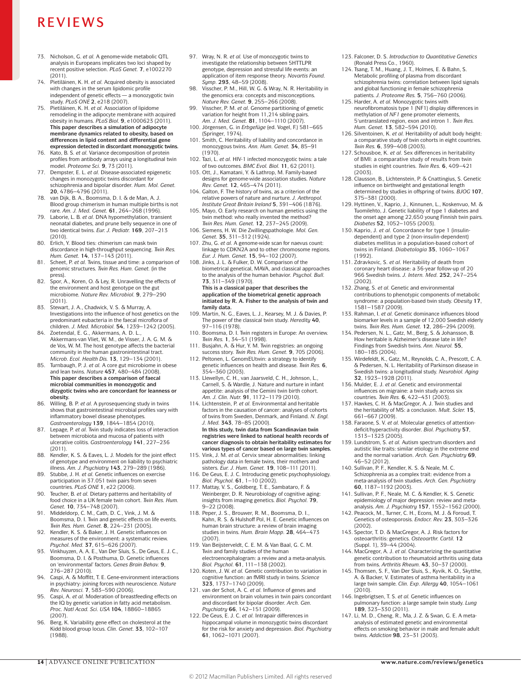- 73. Nicholson, G. *et al.* A genome-wide metabolic QTL analysis in Europeans implicates two loci shaped by recent positive selection. *PLoS Genet.* **7**, e1002270 (2011).
- 74. Pietiläinen, K. H. *et al.* Acquired obesity is associated with changes in the serum lipidomic profile independent of genetic effects — a monozygotic twin study. *PLoS ONE* **2**, e218 (2007).
- 75. Pietiläinen, K. H. *et al.* Association of lipidome remodeling in the adipocyte membrane with acquired obesity in humans. *PLoS Biol.* **9**, e1000623 (2011). **This paper describes a simulation of adipocyte membrane dynamics related to obesity, based on differences in lipid content and differential gene expression detected in discordant monozygotic twins.**
- 76. Kato, B. S. *et al.* Variance decomposition of protein profiles from antibody arrays using a longitudinal twin model. *Proteome Sci.* **9**, 73 (2011).
- 77. Dempster, E. L. *et al.* Disease-associated epigenetic changes in monozygotic twins discordant for schizophrenia and bipolar disorder. *Hum. Mol. Genet.* **20**, 4786–4796 (2011).
- 78. van Dijk, B. A., Boomsma, D. I. & de Man, A. J. Blood group chimerism in human multiple births is not
- rare. *Am. J. Med. Genet.* **61**, 264–268 (1996). 79. Laborie, L. B. *et al.* DNA hypomethylation, transient neonatal diabetes, and prune belly sequence in one of two identical twins. *Eur. J. Pediatr.* **169**, 207–213 (2010).
- 80. Erlich, Y. Blood ties: chimerism can mask twin discordance in high-throughput sequencing. *Twin Res.*
- *Hum. Genet.* **14**, 137–143 (2011).<br>81. Scheet, P. *et al.* Twins, tissue and time: a comparison of genomic structures. *Twin Res. Hum. Genet.* (in the press).
- 82. Spor, A., Koren, O. & Ley, R. Unravelling the effects of the environment and host genotype on the gut microbiome. *Nature Rev. Microbiol.* **9**, 279–290 (2011).
- 83. Stewart, J. A., Chadwick, V. S. & Murray, A. Investigations into the influence of host genetics on the predominant eubacteria in the faecal microflora of children. *J. Med. Microbiol.* **54**, 1239–1242 (2005).
- Zoetendal, E. G., Akkermans, A. D. L., Akkermans-van Vliet, W. M., de Visser, J. A. G. M. & de Vos, W. M. The host genotype affects the bacterial community in the human gastronintestinal tract. *Microb. Ecol. Health Dis.* **13**, 129–134 (2001).
- 85. Turnbaugh, P. J. *et al.* A core gut microbiome in obese and lean twins. *Nature* **457**, 480–484 (2008). **This paper describes a comparison of faecal microbial communities in monozygotic and dizygotic twins who are concordant for leanness or obesity.**
- 86. Willing, B. P. *et al.* A pyrosequencing study in twins shows that gastrointestinal microbial profiles vary with inflammatory bowel disease phenotypes.
- *Gastroenterology* **139**, 1844–1854 (2010). 87. Lepage, P. *et al.* Twin study indicates loss of interaction between microbiota and mucosa of patients with ulcerative colitis. *Gastroenterology* **141**, 227–236 (2011).
- 88. Kendler, K. S. & Eaves, L. J. Models for the joint effect of genotype and environment on liability to psychiatric illness. *Am. J. Psychiatry* **143**, 279–289 (1986).
- 89. Stubbe, J. H. *et al.* Genetic influences on exercise participation in 37.051 twin pairs from seven countries. *PLoS ONE* **1**, e22 (2006).
- 90. Teucher, B. *et al.* Dietary patterns and heritability of food choice in a UK female twin cohort. *Twin Res. Hum. Genet.* **10**, 734–748 (2007).
- 91. Middeldorp, C. M., Cath, D. C., Vink, J. M. & Boomsma, D. I. Twin and genetic effects on life events.
- *Twin Res. Hum. Genet.* **8**, 224–231 (2005). 92. Kendler, K. S. & Baker, J. H. Genetic influences on measures of the environment: a systematic review. *Psychol. Med.* **37**, 615–626 (2007).
- 93. Vinkhuyzen, A. A. E., Van Der Sluis, S., De Geus, E. J. C., Boomsma, D. I. & Posthuma, D. Genetic influences on 'environmental' factors. *Genes Brain Behav.* **9**, 276–287 (2010).
- 94. Caspi, A. & Moffitt, T. E. Gene-environment interactions in psychiatry: joining forces with neuroscience. *Nature Rev. Neurosci.* **7**, 583–590 (2006).
- 95. Caspi, A. *et al.* Moderation of breastfeeding effects on the IQ by genetic variation in fatty acid metabolism. *Proc. Natl Acad. Sci. USA* **104**, 18860–18865 (2007).
- Berg, K. Variability gene effect on cholesterol at the Kidd blood group locus. *Clin. Genet.* **33**, 102–107 (1988).
- 97. Wray, N. R. *et al.* Use of monozygotic twins to investigate the relationship between 5HTTLPR genotype, depression and stressful life events: an application of item response theory. *Novartis Found. Symp.* **293**, 48–59 (2008).
- 98. Visscher, P. M., Hill, W. G. & Wray, N. R. Heritability in the genomics era: concepts and misconceptions. *Nature Rev. Genet.* **9**, 255–266 (2008).
- 99. Visscher, P. M. *et al.* Genome partitioning of genetic variation for height from 11,214 sibling pairs. *Am. J. Med. Genet.* **81**, 1104–1110 (2007).
- 100. Jörgensen, G. in *Erbgefüge* (ed. Vogel, F.) 581–665 (Springer, 1974).
- 101. Smith, C. Heritability of liability and concordance in monozygous twins. *Ann. Hum. Genet.* **34**, 85–91 (1970).
- 102. Tazi, L. *et al.* HIV-1 infected monozygotic twins: a tale of two outcomes. *BMC Evol. Biol.* **11**, 62 (2011).
- 103. Ott, J., Kamatani, Y. & Lathrop, M. Family-based designs for genome-wide association studies. *Nature Rev. Genet.* **12**, 465–474 (2011).
- 104. Galton, F. The history of twins, as a criterion of the relative powers of nature and nurture. *J. Anthropol. Institute Great Britain Ireland* **5**, 391–406 (1876).
- 105. Mayo, O. Early research on human genetics using the twin method: who really invented the method? *Twin Res. Hum. Genet.* **12**, 237–245 (2009).
- 106. Siemens, H. W. Die Zwillingspathologie. *Mol. Gen. Genet.* **35**, 311–312 (1924).
- 107. Zhu, G. *et al.* A genome-wide scan for naevus count: linkage to CDKN2A and to other chromosome regions. *Eur. J. Hum. Genet.* **15**, 94–102 (2007). 108. Jinks, J. L. & Fulker, D. W. Comparison of the
- biometrical genetical, MAVA, and classical approaches to the analysis of the human behavior. *Psychol. Bull.* **73**, 311–349 (1970). **This is a classical paper that describes the application of the biometrical genetic approach**

**initiated by R. A. Fisher to the analysis of twin and family data.**

- 109. Martin, N. G., Eaves, L. J., Kearsey, M. J. & Davies, P. The power of the classical twin study. *Heredity* **40**, 97–116 (1978).
- 110. Boomsma, D. I. Twin registers in Europe: An overview. *Twin Res.* **1**, 34–51 (1998).
- 111. Busjahn, A. & Hur, Y. M. Twin registries: an ongoing success story. *Twin Res. Hum. Genet.* **9**, 705 (2006).
- 112. Peltonen, L. GenomEUtwin: a strategy to identify genetic influences on health and disease. *Twin Res.* **6**, 354–360 (2003).
- 113. Llewellyn, C. H., van Jaarsveld, C. H., Johnson, L., Carnell, S. & Wardle, J. Nature and nurture in infant appetite: analysis of the Gemini twin birth cohort. *Am. J. Clin. Nutr.* **91**, 1172–1179 (2010).
- 114. Lichtenstein, P. *et al.* Environmental and heritable factors in the causation of cancer: analyses of cohorts of twins from Sweden, Denmark, and Finland. *N. Engl. J. Med.* **343**, 78–85 (2000). **In this study, twin data from Scandinavian twin registries were linked to national health records of cancer diagnosis to obtain heritability estimates for various types of cancer based on large twin samples.**
- 115. Vink, J. M. *et al.* Cervix smear abnormalities: linking pathology data in female twins, their mothers and sisters. *Eur. J. Hum. Genet.* **19**, 108–111 (2011).
- 116. De Geus, E. J. C. Introducing genetic psychophysiology. *Biol. Psychol.* **61**, 1–10 (2002).
- 117. Mattay, V. S., Goldberg, T. E., Sambataro, F. & Weinberger, D. R. Neurobiology of cognitive aging: insights from imaging genetics. *Biol. Psychol.* **79**, 9–22 (2008).
- 118. Peper, J. S., Brouwer, R. M., Boomsma, D. I., Kahn, R. S. & Hulshoff Pol, H. E. Genetic influences on human brain structure: a review of brain imaging studies in twins. *Hum. Brain Mapp.* **28**, 464–473 (2007).
- 119. Van Beijsterveldt, C. E. M. & Van Baal, G. C. M. Twin and family studies of the human electroencephalogram: a review and a meta-analysis. *Biol. Psychol.* **61**, 111–138 (2002).
- 120. Koten, J. W. *et al.* Genetic contribution to variation in cognitive function: an fMRI study in twins. *Science* **323**, 1737–1740 (2009).
- 121. van der Schot, A. C. *et al.* Influence of genes and environment on brain volumes in twin pairs concordant and discordant for bipolar disorder. *Arch. Gen. Psychiatry* **66**, 142–151 (2009).
- 122. De Geus, E. J. C. *et al.* Intrapair differences in hippocampal volume in monozygotic twins discordant for the risk for anxiety and depression. *Biol. Psychiatry* **61**, 1062–1071 (2007).
- 123. Falconer, D. S. *Introduction to Quantitative Genetics* (Ronald Press Co., 1960).
- 124. Tsang, T. M., Huang, J. T., Holmes, E. & Bahn, S. Metabolic profiling of plasma from discordant schizophrenia twins: correlation between lipid signals and global functioning in female schizophrenia patients. *J. Proteome Res.* **5**, 756–760 (2006).
- 125. Harder, A. *et al.* Monozygotic twins with neurofibromatosis type 1 (NF1) display differences in methylation of *NF1* gene promoter elements 5ʹuntranslated region, exon and intron 1. *Twin Res. Hum. Genet.* **13**, 582–594 (2010).
- 126. Silventoinen, K. *et al.* Heritability of adult body height: a comparative study of twin cohorts in eight countries. *Twin Res.* **6**, 399–408 (2003).
- 127. Schousboe, K. *et al.* Sex differences in heritability of BMI: a comparative study of results from twin studies in eight countries. *Twin Res.* **6**, 409–421 (2003).
- 128. Clausson, B., Lichtenstein, P. & Cnattingius, S. Genetic influence on birthweight and gestational length determined by studies in offspring of twins. *BJOG* **107**, 375–381 (2000).
- 129. Hyttinen, V., Kaprio, J., Kinnunen, L., Koskenvuo, M. & Tuomilehto, J. Genetic liability of type 1 diabetes and the onset age among 22,650 young Finnish twin pairs. *Diabetes* **52**, 1052–1055 (2003).
- 130. Kaprio, J. *et al.* Concordance for type 1 (insulindependent) and type 2 (non-insulin-dependent) diabetes mellitus in a population-based cohort of twins in Finland. *Diabetologia* **35**, 1060–1067 (1992).
- 131. Zdravkovic, S. *et al.* Heritability of death from coronary heart disease: a 36-year follow-up of 20 966 Swedish twins. *J. Intern. Med.* **252**, 247–254 (2002).
- 132. Zhang, S. *et al.* Genetic and environmental contributions to phenotypic components of metabolic syndrome: a population-based twin study. *Obesity* **17**, 1581–1587 (2009).
- 133. Rahman, I. *et al.* Genetic dominance influences blood biomarker levels in a sample of 12,000 Swedish elderly twins. *Twin Res. Hum. Genet.* **12**, 286–294 (2009).
- 134. Pedersen, N. L., Gatz, M., Berg, S. & Johansson, B. How heritable is Alzheimer's disease late in life? Findings from Swedish twins. *Ann. Neurol.* **55**, 180–185 (2004).
- 135. Wirdefeldt, K., Gatz, M., Reynolds, C. A., Prescott, C. A. & Pedersen, N. L. Heritability of Parkinson disease in Swedish twins: a longitudinal study. *Neurobiol. Aging* **32**, 1923–1928 (2011).
- 136. Mulder, E. J. *et al.* Genetic and environmental influences on migraine: a twin study across six countries. *Twin Res.* **6**, 422–431 (2003).
- 137. Hawkes, C. H. & MacGregor, A. J. Twin studies and the heritability of MS: a conclusion. *Mult. Scler.* **15**, 661–667 (2009).
- 138. Faraone, S. V. *et al.* Molecular genetics of attention-deficit/hyperactivity disorder. *Biol. Psychiatry* **57**, 1313–1323 (2005).
- 139. Lundstrom, S. *et al.* Autism spectrum disorders and autistic like traits: similar etiology in the extreme end and the normal variation. *Arch. Gen. Psychiatry* **69**,
- 46–52 (2012). 140. Sullivan, P. F., Kendler, K. S. & Neale, M. C. Schizophrenia as a complex trait: evidence from a meta-analysis of twin studies. *Arch. Gen. Psychiatry* **60**, 1187–1192 (2003).
- 141. Sullivan, P. F., Neale, M. C. & Kendler, K. S. Genetic epidemiology of major depression: review and metaanalysis. *Am. J. Psychiatry* **157**, 1552–1562 (2000).
- 142. Peacock, M., Turner, C. H., Econs, M. J. & Foroud, T. Genetics of osteoporosis. *Endocr. Rev.* **23**, 303–326  $(2002)$
- 143. Spector, T. D. & MacGregor, A. J. Risk factors for osteoarthritis: genetics. *Osteoarthr. Cartil.* **12** (Suppl. 1), 39–44 (2004).
- 144. MacGregor, A. J. *et al.* Characterizing the quantitative genetic contribution to rheumatoid arthritis using data
- from twins. *Arthritis Rheum.* **43**, 30–37 (2000). 145. Thomsen, S. F., Van Der Sluis, S., Kyvik, K. O., Skytthe, A. & Backer, V. Estimates of asthma heritability in a large twin sample. *Clin. Exp. Allergy* **40**, 1054–1061 (2010).
- 146. Ingebrigtsen, T. S. *et al.* Genetic influences on pulmonary function: a large sample twin study. *Lung* **189**, 323–330 (2011).
- 147. Li, M. D., Cheng, R., Ma, J. Z. & Swan, G. E. A metaanalysis of estimated genetic and environmental effects on smoking behavior in male and female adult twins. *Addiction* **98**, 23–31 (2003).